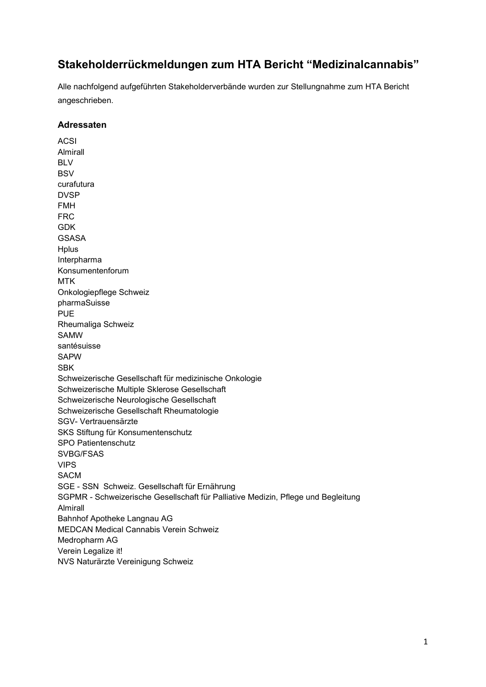## **Stakeholderrückmeldungen zum HTA Bericht "Medizinalcannabis"**

Alle nachfolgend aufgeführten Stakeholderverbände wurden zur Stellungnahme zum HTA Bericht angeschrieben.

## **Adressaten**

ACSI Almirall BLV **BSV** curafutura DVSP FMH FRC GDK GSASA **Hplus** Interpharma Konsumentenforum MTK Onkologiepflege Schweiz pharmaSuisse PUE Rheumaliga Schweiz SAMW santésuisse SAPW SBK Schweizerische Gesellschaft für medizinische Onkologie Schweizerische Multiple Sklerose Gesellschaft Schweizerische Neurologische Gesellschaft Schweizerische Gesellschaft Rheumatologie SGV- Vertrauensärzte SKS Stiftung für Konsumentenschutz SPO Patientenschutz SVBG/FSAS VIPS SACM SGE - SSN Schweiz. Gesellschaft für Ernährung SGPMR - Schweizerische Gesellschaft für Palliative Medizin, Pflege und Begleitung Almirall Bahnhof Apotheke Langnau AG MEDCAN Medical Cannabis Verein Schweiz Medropharm AG Verein Legalize it! NVS Naturärzte Vereinigung Schweiz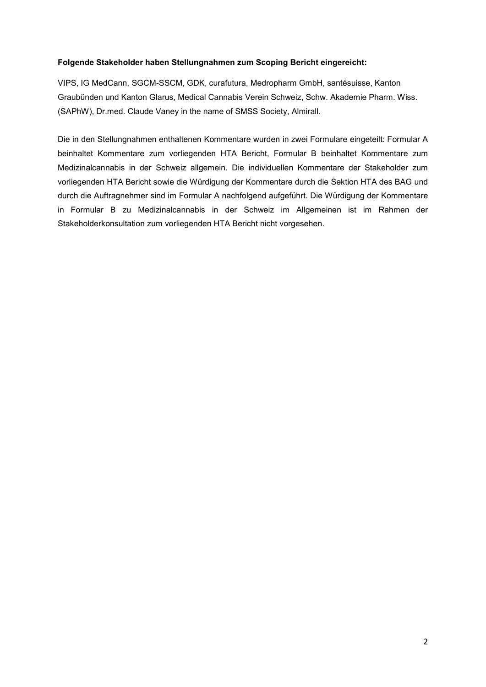## **Folgende Stakeholder haben Stellungnahmen zum Scoping Bericht eingereicht:**

VIPS, IG MedCann, SGCM-SSCM, GDK, curafutura, Medropharm GmbH, santésuisse, Kanton Graubünden und Kanton Glarus, Medical Cannabis Verein Schweiz, Schw. Akademie Pharm. Wiss. (SAPhW), Dr.med. Claude Vaney in the name of SMSS Society, Almirall.

Die in den Stellungnahmen enthaltenen Kommentare wurden in zwei Formulare eingeteilt: Formular A beinhaltet Kommentare zum vorliegenden HTA Bericht, Formular B beinhaltet Kommentare zum Medizinalcannabis in der Schweiz allgemein. Die individuellen Kommentare der Stakeholder zum vorliegenden HTA Bericht sowie die Würdigung der Kommentare durch die Sektion HTA des BAG und durch die Auftragnehmer sind im Formular A nachfolgend aufgeführt. Die Würdigung der Kommentare in Formular B zu Medizinalcannabis in der Schweiz im Allgemeinen ist im Rahmen der Stakeholderkonsultation zum vorliegenden HTA Bericht nicht vorgesehen.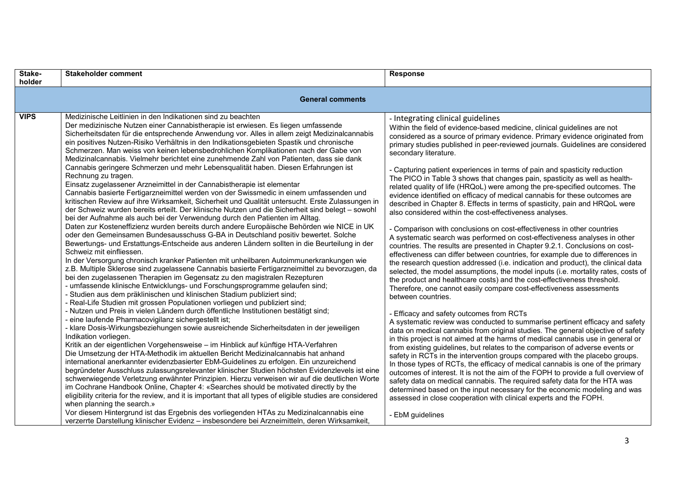| Stake-<br>holder | <b>Stakeholder comment</b>                                                                                                                                                                                                                                                                                                                                                                                                                                                                                                                                                                                                                                                                                                                                                                                                                                                                                                                                                                                                                                                                                                                                                                                                                                                                                                                                                                                                                                                                                                                                                                                                                                                                                                                                                                                                                                                                                                                                                                                                                                                                                                                                                                                                                                                                                                                                                                                                                                                                                                                                                                                                                                                                                                                                                                                                                                                                                                                                                                                                                                                                                              | <b>Response</b>                                                                                                                                                                                                                                                                                                                                                                                                                                                                                                                                                                                                                                                                                                                                                                                                                                                                                                                                                                                                                                                                                                                                                                                                                                                                                                                                                                                                                                                                                                                                                                                                                                                                                                                                                                                                                                                                                                                                                                                                                                                                                                                                                                                                                                                                                                                              |
|------------------|-------------------------------------------------------------------------------------------------------------------------------------------------------------------------------------------------------------------------------------------------------------------------------------------------------------------------------------------------------------------------------------------------------------------------------------------------------------------------------------------------------------------------------------------------------------------------------------------------------------------------------------------------------------------------------------------------------------------------------------------------------------------------------------------------------------------------------------------------------------------------------------------------------------------------------------------------------------------------------------------------------------------------------------------------------------------------------------------------------------------------------------------------------------------------------------------------------------------------------------------------------------------------------------------------------------------------------------------------------------------------------------------------------------------------------------------------------------------------------------------------------------------------------------------------------------------------------------------------------------------------------------------------------------------------------------------------------------------------------------------------------------------------------------------------------------------------------------------------------------------------------------------------------------------------------------------------------------------------------------------------------------------------------------------------------------------------------------------------------------------------------------------------------------------------------------------------------------------------------------------------------------------------------------------------------------------------------------------------------------------------------------------------------------------------------------------------------------------------------------------------------------------------------------------------------------------------------------------------------------------------------------------------------------------------------------------------------------------------------------------------------------------------------------------------------------------------------------------------------------------------------------------------------------------------------------------------------------------------------------------------------------------------------------------------------------------------------------------------------------------------|----------------------------------------------------------------------------------------------------------------------------------------------------------------------------------------------------------------------------------------------------------------------------------------------------------------------------------------------------------------------------------------------------------------------------------------------------------------------------------------------------------------------------------------------------------------------------------------------------------------------------------------------------------------------------------------------------------------------------------------------------------------------------------------------------------------------------------------------------------------------------------------------------------------------------------------------------------------------------------------------------------------------------------------------------------------------------------------------------------------------------------------------------------------------------------------------------------------------------------------------------------------------------------------------------------------------------------------------------------------------------------------------------------------------------------------------------------------------------------------------------------------------------------------------------------------------------------------------------------------------------------------------------------------------------------------------------------------------------------------------------------------------------------------------------------------------------------------------------------------------------------------------------------------------------------------------------------------------------------------------------------------------------------------------------------------------------------------------------------------------------------------------------------------------------------------------------------------------------------------------------------------------------------------------------------------------------------------------|
|                  | <b>General comments</b>                                                                                                                                                                                                                                                                                                                                                                                                                                                                                                                                                                                                                                                                                                                                                                                                                                                                                                                                                                                                                                                                                                                                                                                                                                                                                                                                                                                                                                                                                                                                                                                                                                                                                                                                                                                                                                                                                                                                                                                                                                                                                                                                                                                                                                                                                                                                                                                                                                                                                                                                                                                                                                                                                                                                                                                                                                                                                                                                                                                                                                                                                                 |                                                                                                                                                                                                                                                                                                                                                                                                                                                                                                                                                                                                                                                                                                                                                                                                                                                                                                                                                                                                                                                                                                                                                                                                                                                                                                                                                                                                                                                                                                                                                                                                                                                                                                                                                                                                                                                                                                                                                                                                                                                                                                                                                                                                                                                                                                                                              |
| <b>VIPS</b>      | Medizinische Leitlinien in den Indikationen sind zu beachten<br>Der medizinische Nutzen einer Cannabistherapie ist erwiesen. Es liegen umfassende<br>Sicherheitsdaten für die entsprechende Anwendung vor. Alles in allem zeigt Medizinalcannabis<br>ein positives Nutzen-Risiko Verhältnis in den Indikationsgebieten Spastik und chronische<br>Schmerzen. Man weiss von keinen lebensbedrohlichen Komplikationen nach der Gabe von<br>Medizinalcannabis. Vielmehr berichtet eine zunehmende Zahl von Patienten, dass sie dank<br>Cannabis geringere Schmerzen und mehr Lebensqualität haben. Diesen Erfahrungen ist<br>Rechnung zu tragen.<br>Einsatz zugelassener Arzneimittel in der Cannabistherapie ist elementar<br>Cannabis basierte Fertigarzneimittel werden von der Swissmedic in einem umfassenden und<br>kritischen Review auf ihre Wirksamkeit, Sicherheit und Qualität untersucht. Erste Zulassungen in<br>der Schweiz wurden bereits erteilt. Der klinische Nutzen und die Sicherheit sind belegt - sowohl<br>bei der Aufnahme als auch bei der Verwendung durch den Patienten im Alltag.<br>Daten zur Kosteneffizienz wurden bereits durch andere Europäische Behörden wie NICE in UK<br>oder den Gemeinsamen Bundesausschuss G-BA in Deutschland positiv bewertet. Solche<br>Bewertungs- und Erstattungs-Entscheide aus anderen Ländern sollten in die Beurteilung in der<br>Schweiz mit einfliessen.<br>In der Versorgung chronisch kranker Patienten mit unheilbaren Autoimmunerkrankungen wie<br>z.B. Multiple Sklerose sind zugelassene Cannabis basierte Fertigarzneimittel zu bevorzugen, da<br>bei den zugelassenen Therapien im Gegensatz zu den magistralen Rezepturen<br>- umfassende klinische Entwicklungs- und Forschungsprogramme gelaufen sind;<br>- Studien aus dem präklinischen und klinischen Stadium publiziert sind;<br>- Real-Life Studien mit grossen Populationen vorliegen und publiziert sind;<br>- Nutzen und Preis in vielen Ländern durch öffentliche Institutionen bestätigt sind;<br>- eine laufende Pharmacovigilanz sichergestellt ist;<br>- klare Dosis-Wirkungsbeziehungen sowie ausreichende Sicherheitsdaten in der jeweiligen<br>Indikation vorliegen.<br>Kritik an der eigentlichen Vorgehensweise - im Hinblick auf künftige HTA-Verfahren<br>Die Umsetzung der HTA-Methodik im aktuellen Bericht Medizinalcannabis hat anhand<br>international anerkannter evidenzbasierter EbM-Guidelines zu erfolgen. Ein unzureichend<br>begründeter Ausschluss zulassungsrelevanter klinischer Studien höchsten Evidenzlevels ist eine<br>schwerwiegende Verletzung erwähnter Prinzipien. Hierzu verweisen wir auf die deutlichen Worte<br>im Cochrane Handbook Online, Chapter 4: «Searches should be motivated directly by the<br>eligibility criteria for the review, and it is important that all types of eligible studies are considered<br>when planning the search.»<br>Vor diesem Hintergrund ist das Ergebnis des vorliegenden HTAs zu Medizinalcannabis eine<br>verzerrte Darstellung klinischer Evidenz - insbesondere bei Arzneimitteln, deren Wirksamkeit, | - Integrating clinical guidelines<br>Within the field of evidence-based medicine, clinical guidelines are not<br>considered as a source of primary evidence. Primary evidence originated from<br>primary studies published in peer-reviewed journals. Guidelines are considered<br>secondary literature.<br>- Capturing patient experiences in terms of pain and spasticity reduction<br>The PICO in Table 3 shows that changes pain, spasticity as well as health-<br>related quality of life (HRQoL) were among the pre-specified outcomes. The<br>evidence identified on efficacy of medical cannabis for these outcomes are<br>described in Chapter 8. Effects in terms of spasticity, pain and HRQoL were<br>also considered within the cost-effectiveness analyses.<br>- Comparison with conclusions on cost-effectiveness in other countries<br>A systematic search was performed on cost-effectiveness analyses in other<br>countries. The results are presented in Chapter 9.2.1. Conclusions on cost-<br>effectiveness can differ between countries, for example due to differences in<br>the research question addressed (i.e. indication and product), the clinical data<br>selected, the model assumptions, the model inputs (i.e. mortality rates, costs of<br>the product and healthcare costs) and the cost-effectiveness threshold.<br>Therefore, one cannot easily compare cost-effectiveness assessments<br>between countries.<br>- Efficacy and safety outcomes from RCTs<br>A systematic review was conducted to summarise pertinent efficacy and safety<br>data on medical cannabis from original studies. The general objective of safety<br>in this project is not aimed at the harms of medical cannabis use in general or<br>from existing guidelines, but relates to the comparison of adverse events or<br>safety in RCTs in the intervention groups compared with the placebo groups.<br>In those types of RCTs, the efficacy of medical cannabis is one of the primary<br>outcomes of interest. It is not the aim of the FOPH to provide a full overview of<br>safety data on medical cannabis. The required safety data for the HTA was<br>determined based on the input necessary for the economic modeling and was<br>assessed in close cooperation with clinical experts and the FOPH.<br>- EbM guidelines |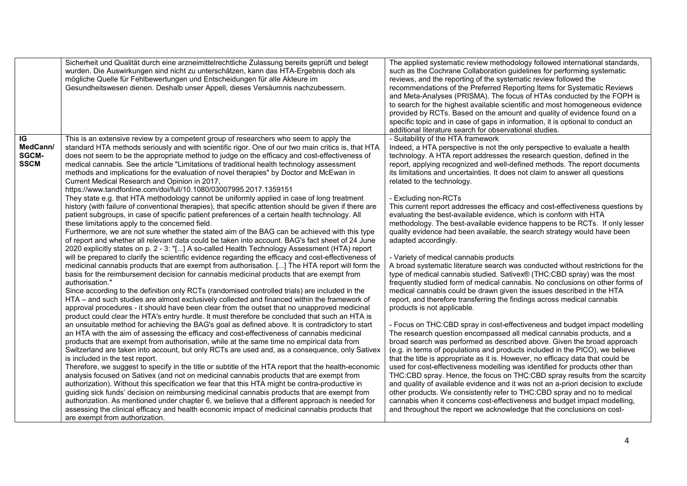|                                               | Sicherheit und Qualität durch eine arzneimittelrechtliche Zulassung bereits geprüft und belegt<br>wurden. Die Auswirkungen sind nicht zu unterschätzen, kann das HTA-Ergebnis doch als<br>mögliche Quelle für Fehlbewertungen und Entscheidungen für alle Akteure im<br>Gesundheitswesen dienen. Deshalb unser Appell, dieses Versäumnis nachzubessern.                                                                                                                                                                                                                                                                                                                                                                                                                                                                                                                                                                                                                                                                                                                                                                                                                                                                                                                                                                                                                                                                                                                                                                                                                                                                                                                                                                                                                                                                                                                                                                                                                                                                                                                                                                                                                                                                                                                                                                                                                                                                                                                                                                                                                                                                                                                                                                                                                                                                                                                                                                                                                                                                                                                                          | The applied systematic review methodology followed international standards,<br>such as the Cochrane Collaboration guidelines for performing systematic<br>reviews, and the reporting of the systematic review followed the<br>recommendations of the Preferred Reporting Items for Systematic Reviews<br>and Meta-Analyses (PRISMA). The focus of HTAs conducted by the FOPH is<br>to search for the highest available scientific and most homogeneous evidence<br>provided by RCTs. Based on the amount and quality of evidence found on a<br>specific topic and in case of gaps in information, it is optional to conduct an<br>additional literature search for observational studies.                                                                                                                                                                                                                                                                                                                                                                                                                                                                                                                                                                                                                                                                                                                                                                                                                                                                                                                                                                                                                                                                                                                                                                                                                                                                                                                                                                                                                                         |
|-----------------------------------------------|--------------------------------------------------------------------------------------------------------------------------------------------------------------------------------------------------------------------------------------------------------------------------------------------------------------------------------------------------------------------------------------------------------------------------------------------------------------------------------------------------------------------------------------------------------------------------------------------------------------------------------------------------------------------------------------------------------------------------------------------------------------------------------------------------------------------------------------------------------------------------------------------------------------------------------------------------------------------------------------------------------------------------------------------------------------------------------------------------------------------------------------------------------------------------------------------------------------------------------------------------------------------------------------------------------------------------------------------------------------------------------------------------------------------------------------------------------------------------------------------------------------------------------------------------------------------------------------------------------------------------------------------------------------------------------------------------------------------------------------------------------------------------------------------------------------------------------------------------------------------------------------------------------------------------------------------------------------------------------------------------------------------------------------------------------------------------------------------------------------------------------------------------------------------------------------------------------------------------------------------------------------------------------------------------------------------------------------------------------------------------------------------------------------------------------------------------------------------------------------------------------------------------------------------------------------------------------------------------------------------------------------------------------------------------------------------------------------------------------------------------------------------------------------------------------------------------------------------------------------------------------------------------------------------------------------------------------------------------------------------------------------------------------------------------------------------------------------------------|-----------------------------------------------------------------------------------------------------------------------------------------------------------------------------------------------------------------------------------------------------------------------------------------------------------------------------------------------------------------------------------------------------------------------------------------------------------------------------------------------------------------------------------------------------------------------------------------------------------------------------------------------------------------------------------------------------------------------------------------------------------------------------------------------------------------------------------------------------------------------------------------------------------------------------------------------------------------------------------------------------------------------------------------------------------------------------------------------------------------------------------------------------------------------------------------------------------------------------------------------------------------------------------------------------------------------------------------------------------------------------------------------------------------------------------------------------------------------------------------------------------------------------------------------------------------------------------------------------------------------------------------------------------------------------------------------------------------------------------------------------------------------------------------------------------------------------------------------------------------------------------------------------------------------------------------------------------------------------------------------------------------------------------------------------------------------------------------------------------------------------------|
| IG<br>MedCann/<br><b>SGCM-</b><br><b>SSCM</b> | This is an extensive review by a competent group of researchers who seem to apply the<br>standard HTA methods seriously and with scientific rigor. One of our two main critics is, that HTA<br>does not seem to be the appropriate method to judge on the efficacy and cost-effectiveness of<br>medical cannabis. See the article "Limitations of traditional health technology assessment<br>methods and implications for the evaluation of novel therapies" by Doctor and McEwan in<br>Current Medical Research and Opinion in 2017,<br>https://www.tandfonline.com/doi/full/10.1080/03007995.2017.1359151<br>They state e.g. that HTA methodology cannot be uniformly applied in case of long treatment<br>history (with failure of conventional therapies), that specific attention should be given if there are<br>patient subgroups, in case of specific patient preferences of a certain health technology. All<br>these limitations apply to the concerned field.<br>Furthermore, we are not sure whether the stated aim of the BAG can be achieved with this type<br>of report and whether all relevant data could be taken into account. BAG's fact sheet of 24 June<br>2020 explicitly states on p. 2 - 3: "[] A so-called Health Technology Assessment (HTA) report<br>will be prepared to clarify the scientific evidence regarding the efficacy and cost-effectiveness of<br>medicinal cannabis products that are exempt from authorisation. [] The HTA report will form the<br>basis for the reimbursement decision for cannabis medicinal products that are exempt from<br>authorisation."<br>Since according to the definition only RCTs (randomised controlled trials) are included in the<br>HTA - and such studies are almost exclusively collected and financed within the framework of<br>approval procedures - it should have been clear from the outset that no unapproved medicinal<br>product could clear the HTA's entry hurdle. It must therefore be concluded that such an HTA is<br>an unsuitable method for achieving the BAG's goal as defined above. It is contradictory to start<br>an HTA with the aim of assessing the efficacy and cost-effectiveness of cannabis medicinal<br>products that are exempt from authorisation, while at the same time no empirical data from<br>Switzerland are taken into account, but only RCTs are used and, as a consequence, only Sativex<br>is included in the test report.<br>Therefore, we suggest to specify in the title or subtitle of the HTA report that the health-economic<br>analysis focused on Sativex (and not on medicinal cannabis products that are exempt from<br>authorization). Without this specification we fear that this HTA might be contra-productive in<br>guiding sick funds' decision on reimbursing medicinal cannabis products that are exempt from<br>authorization. As mentioned under chapter 6, we believe that a different approach is needed for<br>assessing the clinical efficacy and health economic impact of medicinal cannabis products that<br>are exempt from authorization. | - Suitability of the HTA framework<br>Indeed, a HTA perspective is not the only perspective to evaluate a health<br>technology. A HTA report addresses the research question, defined in the<br>report, applying recognized and well-defined methods. The report documents<br>its limitations and uncertainties. It does not claim to answer all questions<br>related to the technology.<br>- Excluding non-RCTs<br>This current report addresses the efficacy and cost-effectiveness questions by<br>evaluating the best-available evidence, which is conform with HTA<br>methodology. The best-available evidence happens to be RCTs. If only lesser<br>quality evidence had been available, the search strategy would have been<br>adapted accordingly.<br>- Variety of medical cannabis products<br>A broad systematic literature search was conducted without restrictions for the<br>type of medical cannabis studied. Sativex® (THC:CBD spray) was the most<br>frequently studied form of medical cannabis. No conclusions on other forms of<br>medical cannabis could be drawn given the issues described in the HTA<br>report, and therefore transferring the findings across medical cannabis<br>products is not applicable.<br>- Focus on THC:CBD spray in cost-effectiveness and budget impact modelling<br>The research question encompassed all medical cannabis products, and a<br>broad search was performed as described above. Given the broad approach<br>(e.g. in terms of populations and products included in the PICO), we believe<br>that the title is appropriate as it is. However, no efficacy data that could be<br>used for cost-effectiveness modelling was identified for products other than<br>THC:CBD spray. Hence, the focus on THC:CBD spray results from the scarcity<br>and quality of available evidence and it was not an a-priori decision to exclude<br>other products. We consistently refer to THC:CBD spray and no to medical<br>cannabis when it concerns cost-effectiveness and budget impact modelling,<br>and throughout the report we acknowledge that the conclusions on cost- |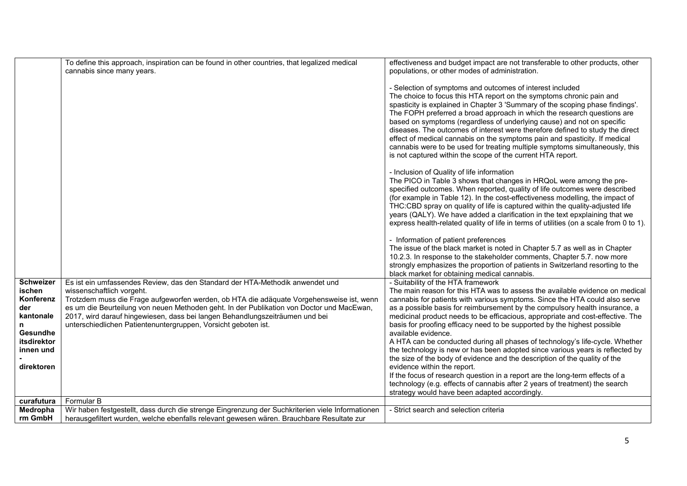|                                                                                                            | To define this approach, inspiration can be found in other countries, that legalized medical<br>cannabis since many years.                                                                                                                                                                                                                                                                                                                            | effectiveness and budget impact are not transferable to other products, other<br>populations, or other modes of administration.                                                                                                                                                                                                                                                                                                                                                                                                                                                                                                                                                                                                                                                                                                                                                                                                                                     |
|------------------------------------------------------------------------------------------------------------|-------------------------------------------------------------------------------------------------------------------------------------------------------------------------------------------------------------------------------------------------------------------------------------------------------------------------------------------------------------------------------------------------------------------------------------------------------|---------------------------------------------------------------------------------------------------------------------------------------------------------------------------------------------------------------------------------------------------------------------------------------------------------------------------------------------------------------------------------------------------------------------------------------------------------------------------------------------------------------------------------------------------------------------------------------------------------------------------------------------------------------------------------------------------------------------------------------------------------------------------------------------------------------------------------------------------------------------------------------------------------------------------------------------------------------------|
|                                                                                                            |                                                                                                                                                                                                                                                                                                                                                                                                                                                       | - Selection of symptoms and outcomes of interest included<br>The choice to focus this HTA report on the symptoms chronic pain and<br>spasticity is explained in Chapter 3 'Summary of the scoping phase findings'.<br>The FOPH preferred a broad approach in which the research questions are<br>based on symptoms (regardless of underlying cause) and not on specific<br>diseases. The outcomes of interest were therefore defined to study the direct<br>effect of medical cannabis on the symptoms pain and spasticity. If medical<br>cannabis were to be used for treating multiple symptoms simultaneously, this<br>is not captured within the scope of the current HTA report.                                                                                                                                                                                                                                                                               |
|                                                                                                            |                                                                                                                                                                                                                                                                                                                                                                                                                                                       | - Inclusion of Quality of life information<br>The PICO in Table 3 shows that changes in HRQoL were among the pre-<br>specified outcomes. When reported, quality of life outcomes were described<br>(for example in Table 12). In the cost-effectiveness modelling, the impact of<br>THC:CBD spray on quality of life is captured within the quality-adjusted life<br>years (QALY). We have added a clarification in the text epxplaining that we<br>express health-related quality of life in terms of utilities (on a scale from 0 to 1).                                                                                                                                                                                                                                                                                                                                                                                                                          |
|                                                                                                            |                                                                                                                                                                                                                                                                                                                                                                                                                                                       | - Information of patient preferences<br>The issue of the black market is noted in Chapter 5.7 as well as in Chapter<br>10.2.3. In response to the stakeholder comments, Chapter 5.7. now more<br>strongly emphasizes the proportion of patients in Switzerland resorting to the<br>black market for obtaining medical cannabis.                                                                                                                                                                                                                                                                                                                                                                                                                                                                                                                                                                                                                                     |
| Schweizer<br>ischen<br>Konferenz<br>der<br>kantonale<br>Gesundhe<br>itsdirektor<br>innen und<br>direktoren | Es ist ein umfassendes Review, das den Standard der HTA-Methodik anwendet und<br>wissenschaftlich vorgeht.<br>Trotzdem muss die Frage aufgeworfen werden, ob HTA die adäquate Vorgehensweise ist, wenn<br>es um die Beurteilung von neuen Methoden geht. In der Publikation von Doctor und MacEwan,<br>2017, wird darauf hingewiesen, dass bei langen Behandlungszeiträumen und bei<br>unterschiedlichen Patientenuntergruppen, Vorsicht geboten ist. | - Suitability of the HTA framework<br>The main reason for this HTA was to assess the available evidence on medical<br>cannabis for patients with various symptoms. Since the HTA could also serve<br>as a possible basis for reimbursement by the compulsory health insurance, a<br>medicinal product needs to be efficacious, appropriate and cost-effective. The<br>basis for proofing efficacy need to be supported by the highest possible<br>available evidence.<br>A HTA can be conducted during all phases of technology's life-cycle. Whether<br>the technology is new or has been adopted since various years is reflected by<br>the size of the body of evidence and the description of the quality of the<br>evidence within the report.<br>If the focus of research question in a report are the long-term effects of a<br>technology (e.g. effects of cannabis after 2 years of treatment) the search<br>strategy would have been adapted accordingly. |
| curafutura                                                                                                 | Formular B                                                                                                                                                                                                                                                                                                                                                                                                                                            |                                                                                                                                                                                                                                                                                                                                                                                                                                                                                                                                                                                                                                                                                                                                                                                                                                                                                                                                                                     |
| Medropha                                                                                                   | Wir haben festgestellt, dass durch die strenge Eingrenzung der Suchkriterien viele Informationen                                                                                                                                                                                                                                                                                                                                                      | - Strict search and selection criteria                                                                                                                                                                                                                                                                                                                                                                                                                                                                                                                                                                                                                                                                                                                                                                                                                                                                                                                              |
| rm GmbH                                                                                                    | herausgefiltert wurden, welche ebenfalls relevant gewesen wären. Brauchbare Resultate zur                                                                                                                                                                                                                                                                                                                                                             |                                                                                                                                                                                                                                                                                                                                                                                                                                                                                                                                                                                                                                                                                                                                                                                                                                                                                                                                                                     |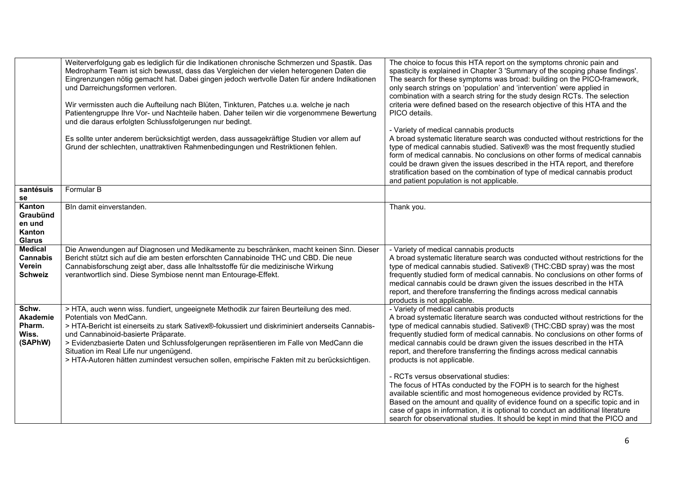|                                                               | Weiterverfolgung gab es lediglich für die Indikationen chronische Schmerzen und Spastik. Das<br>Medropharm Team ist sich bewusst, dass das Vergleichen der vielen heterogenen Daten die<br>Eingrenzungen nötig gemacht hat. Dabei gingen jedoch wertvolle Daten für andere Indikationen<br>und Darreichungsformen verloren.<br>Wir vermissten auch die Aufteilung nach Blüten, Tinkturen, Patches u.a. welche je nach<br>Patientengruppe Ihre Vor- und Nachteile haben. Daher teilen wir die vorgenommene Bewertung<br>und die daraus erfolgten Schlussfolgerungen nur bedingt.<br>Es sollte unter anderem berücksichtigt werden, dass aussagekräftige Studien vor allem auf<br>Grund der schlechten, unattraktiven Rahmenbedingungen und Restriktionen fehlen. | The choice to focus this HTA report on the symptoms chronic pain and<br>spasticity is explained in Chapter 3 'Summary of the scoping phase findings'.<br>The search for these symptoms was broad: building on the PICO-framework,<br>only search strings on 'population' and 'intervention' were applied in<br>combination with a search string for the study design RCTs. The selection<br>criteria were defined based on the research objective of this HTA and the<br>PICO details.<br>- Variety of medical cannabis products<br>A broad systematic literature search was conducted without restrictions for the<br>type of medical cannabis studied. Sativex® was the most frequently studied<br>form of medical cannabis. No conclusions on other forms of medical cannabis<br>could be drawn given the issues described in the HTA report, and therefore<br>stratification based on the combination of type of medical cannabis product<br>and patient population is not applicable. |
|---------------------------------------------------------------|-----------------------------------------------------------------------------------------------------------------------------------------------------------------------------------------------------------------------------------------------------------------------------------------------------------------------------------------------------------------------------------------------------------------------------------------------------------------------------------------------------------------------------------------------------------------------------------------------------------------------------------------------------------------------------------------------------------------------------------------------------------------|--------------------------------------------------------------------------------------------------------------------------------------------------------------------------------------------------------------------------------------------------------------------------------------------------------------------------------------------------------------------------------------------------------------------------------------------------------------------------------------------------------------------------------------------------------------------------------------------------------------------------------------------------------------------------------------------------------------------------------------------------------------------------------------------------------------------------------------------------------------------------------------------------------------------------------------------------------------------------------------------|
| santésuis<br>se                                               | Formular B                                                                                                                                                                                                                                                                                                                                                                                                                                                                                                                                                                                                                                                                                                                                                      |                                                                                                                                                                                                                                                                                                                                                                                                                                                                                                                                                                                                                                                                                                                                                                                                                                                                                                                                                                                            |
| Kanton<br>Graubünd<br>en und<br>Kanton<br><b>Glarus</b>       | Bln damit einverstanden.                                                                                                                                                                                                                                                                                                                                                                                                                                                                                                                                                                                                                                                                                                                                        | Thank you.                                                                                                                                                                                                                                                                                                                                                                                                                                                                                                                                                                                                                                                                                                                                                                                                                                                                                                                                                                                 |
| <b>Medical</b><br><b>Cannabis</b><br>Verein<br><b>Schweiz</b> | Die Anwendungen auf Diagnosen und Medikamente zu beschränken, macht keinen Sinn. Dieser<br>Bericht stützt sich auf die am besten erforschten Cannabinoide THC und CBD. Die neue<br>Cannabisforschung zeigt aber, dass alle Inhaltsstoffe für die medizinische Wirkung<br>verantwortlich sind. Diese Symbiose nennt man Entourage-Effekt.                                                                                                                                                                                                                                                                                                                                                                                                                        | - Variety of medical cannabis products<br>A broad systematic literature search was conducted without restrictions for the<br>type of medical cannabis studied. Sativex® (THC:CBD spray) was the most<br>frequently studied form of medical cannabis. No conclusions on other forms of<br>medical cannabis could be drawn given the issues described in the HTA<br>report, and therefore transferring the findings across medical cannabis<br>products is not applicable.                                                                                                                                                                                                                                                                                                                                                                                                                                                                                                                   |
| Schw.<br>Akademie<br>Pharm.<br>Wiss.<br>(SAPhW)               | > HTA, auch wenn wiss. fundiert, ungeeignete Methodik zur fairen Beurteilung des med.<br>Potentials von MedCann.<br>> HTA-Bericht ist einerseits zu stark Sativex®-fokussiert und diskriminiert anderseits Cannabis-<br>und Cannabinoid-basierte Präparate.<br>> Evidenzbasierte Daten und Schlussfolgerungen repräsentieren im Falle von MedCann die<br>Situation im Real Life nur ungenügend.<br>> HTA-Autoren hätten zumindest versuchen sollen, empirische Fakten mit zu berücksichtigen.                                                                                                                                                                                                                                                                   | - Variety of medical cannabis products<br>A broad systematic literature search was conducted without restrictions for the<br>type of medical cannabis studied. Sativex® (THC:CBD spray) was the most<br>frequently studied form of medical cannabis. No conclusions on other forms of<br>medical cannabis could be drawn given the issues described in the HTA<br>report, and therefore transferring the findings across medical cannabis<br>products is not applicable.                                                                                                                                                                                                                                                                                                                                                                                                                                                                                                                   |
|                                                               |                                                                                                                                                                                                                                                                                                                                                                                                                                                                                                                                                                                                                                                                                                                                                                 | - RCTs versus observational studies:<br>The focus of HTAs conducted by the FOPH is to search for the highest<br>available scientific and most homogeneous evidence provided by RCTs.<br>Based on the amount and quality of evidence found on a specific topic and in<br>case of gaps in information, it is optional to conduct an additional literature<br>search for observational studies. It should be kept in mind that the PICO and                                                                                                                                                                                                                                                                                                                                                                                                                                                                                                                                                   |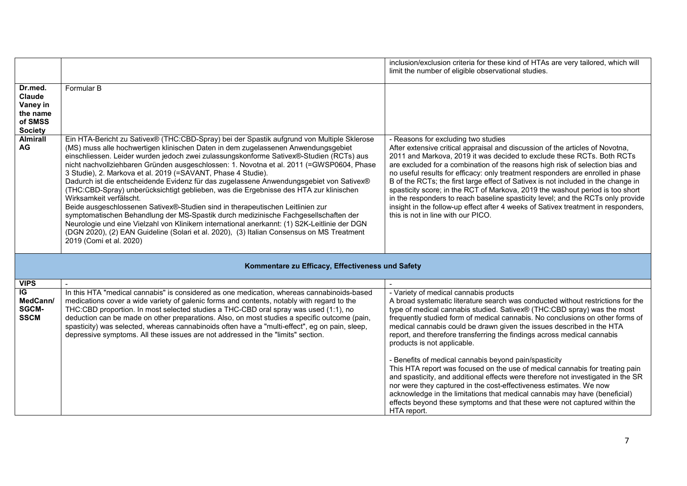| Dr.med.<br>Claude<br>Vaney in<br>the name<br>of SMSS<br><b>Society</b><br><b>Almirall</b><br><b>AG</b> | Formular B<br>Ein HTA-Bericht zu Sativex® (THC:CBD-Spray) bei der Spastik aufgrund von Multiple Sklerose<br>(MS) muss alle hochwertigen klinischen Daten in dem zugelassenen Anwendungsgebiet<br>einschliessen. Leider wurden jedoch zwei zulassungskonforme Sativex®-Studien (RCTs) aus<br>nicht nachvollziehbaren Gründen ausgeschlossen: 1. Novotna et al. 2011 (=GWSP0604, Phase<br>3 Studie), 2. Markova et al. 2019 (=SAVANT, Phase 4 Studie).<br>Dadurch ist die entscheidende Evidenz für das zugelassene Anwendungsgebiet von Sativex®<br>(THC:CBD-Spray) unberücksichtigt geblieben, was die Ergebnisse des HTA zur klinischen<br>Wirksamkeit verfälscht.<br>Beide ausgeschlossenen Sativex®-Studien sind in therapeutischen Leitlinien zur<br>symptomatischen Behandlung der MS-Spastik durch medizinische Fachgesellschaften der<br>Neurologie und eine Vielzahl von Klinikern international anerkannt: (1) S2K-Leitlinie der DGN | inclusion/exclusion criteria for these kind of HTAs are very tailored, which will<br>limit the number of eligible observational studies.<br>- Reasons for excluding two studies<br>After extensive critical appraisal and discussion of the articles of Novotna,<br>2011 and Markova, 2019 it was decided to exclude these RCTs. Both RCTs<br>are excluded for a combination of the reasons high risk of selection bias and<br>no useful results for efficacy: only treatment responders are enrolled in phase<br>B of the RCTs; the first large effect of Sativex is not included in the change in<br>spasticity score; in the RCT of Markova, 2019 the washout period is too short<br>in the responders to reach baseline spasticity level; and the RCTs only provide<br>insight in the follow-up effect after 4 weeks of Sativex treatment in responders,<br>this is not in line with our PICO. |
|--------------------------------------------------------------------------------------------------------|-----------------------------------------------------------------------------------------------------------------------------------------------------------------------------------------------------------------------------------------------------------------------------------------------------------------------------------------------------------------------------------------------------------------------------------------------------------------------------------------------------------------------------------------------------------------------------------------------------------------------------------------------------------------------------------------------------------------------------------------------------------------------------------------------------------------------------------------------------------------------------------------------------------------------------------------------|----------------------------------------------------------------------------------------------------------------------------------------------------------------------------------------------------------------------------------------------------------------------------------------------------------------------------------------------------------------------------------------------------------------------------------------------------------------------------------------------------------------------------------------------------------------------------------------------------------------------------------------------------------------------------------------------------------------------------------------------------------------------------------------------------------------------------------------------------------------------------------------------------|
|                                                                                                        | (DGN 2020), (2) EAN Guideline (Solari et al. 2020), (3) Italian Consensus on MS Treatment<br>2019 (Comi et al. 2020)                                                                                                                                                                                                                                                                                                                                                                                                                                                                                                                                                                                                                                                                                                                                                                                                                          |                                                                                                                                                                                                                                                                                                                                                                                                                                                                                                                                                                                                                                                                                                                                                                                                                                                                                                    |
|                                                                                                        | Kommentare zu Efficacy, Effectiveness und Safety                                                                                                                                                                                                                                                                                                                                                                                                                                                                                                                                                                                                                                                                                                                                                                                                                                                                                              |                                                                                                                                                                                                                                                                                                                                                                                                                                                                                                                                                                                                                                                                                                                                                                                                                                                                                                    |
| <b>VIPS</b>                                                                                            |                                                                                                                                                                                                                                                                                                                                                                                                                                                                                                                                                                                                                                                                                                                                                                                                                                                                                                                                               |                                                                                                                                                                                                                                                                                                                                                                                                                                                                                                                                                                                                                                                                                                                                                                                                                                                                                                    |
| IG<br>MedCann/<br><b>SGCM-</b><br><b>SSCM</b>                                                          | In this HTA "medical cannabis" is considered as one medication, whereas cannabinoids-based<br>medications cover a wide variety of galenic forms and contents, notably with regard to the<br>THC:CBD proportion. In most selected studies a THC-CBD oral spray was used (1:1), no<br>deduction can be made on other preparations. Also, on most studies a specific outcome (pain,<br>spasticity) was selected, whereas cannabinoids often have a "multi-effect", eg on pain, sleep,<br>depressive symptoms. All these issues are not addressed in the "limits" section.                                                                                                                                                                                                                                                                                                                                                                        | - Variety of medical cannabis products<br>A broad systematic literature search was conducted without restrictions for the<br>type of medical cannabis studied. Sativex® (THC:CBD spray) was the most<br>frequently studied form of medical cannabis. No conclusions on other forms of<br>medical cannabis could be drawn given the issues described in the HTA<br>report, and therefore transferring the findings across medical cannabis<br>products is not applicable.                                                                                                                                                                                                                                                                                                                                                                                                                           |

- Benefits of medical cannabis beyond pain/spasticity

HTA report.

This HTA report was focused on the use of medical cannabis for treating pain and spasticity, and additional effects were therefore not investigated in the SR

nor were they captured in the cost-effectiveness estimates. We now acknowledge in the limitations that medical cannabis may have (beneficial) effects beyond these symptoms and that these were not captured within the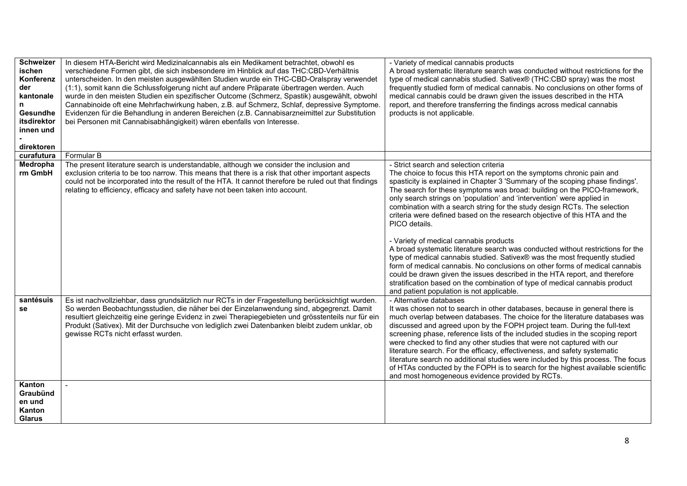| <b>Schweizer</b><br>ischen<br>Konferenz<br>der<br>kantonale<br><b>Gesundhe</b><br>itsdirektor<br>innen und<br>direktoren | In diesem HTA-Bericht wird Medizinalcannabis als ein Medikament betrachtet, obwohl es<br>verschiedene Formen gibt, die sich insbesondere im Hinblick auf das THC:CBD-Verhältnis<br>unterscheiden. In den meisten ausgewählten Studien wurde ein THC-CBD-Oralspray verwendet<br>(1:1), somit kann die Schlussfolgerung nicht auf andere Präparate übertragen werden. Auch<br>wurde in den meisten Studien ein spezifischer Outcome (Schmerz, Spastik) ausgewählt, obwohl<br>Cannabinoide oft eine Mehrfachwirkung haben, z.B. auf Schmerz, Schlaf, depressive Symptome.<br>Evidenzen für die Behandlung in anderen Bereichen (z.B. Cannabisarzneimittel zur Substitution<br>bei Personen mit Cannabisabhängigkeit) wären ebenfalls von Interesse. | - Variety of medical cannabis products<br>A broad systematic literature search was conducted without restrictions for the<br>type of medical cannabis studied. Sativex® (THC:CBD spray) was the most<br>frequently studied form of medical cannabis. No conclusions on other forms of<br>medical cannabis could be drawn given the issues described in the HTA<br>report, and therefore transferring the findings across medical cannabis<br>products is not applicable.                                                                                                                                                                                                                                                                                                                                                                                                                                                                                                                                                             |
|--------------------------------------------------------------------------------------------------------------------------|--------------------------------------------------------------------------------------------------------------------------------------------------------------------------------------------------------------------------------------------------------------------------------------------------------------------------------------------------------------------------------------------------------------------------------------------------------------------------------------------------------------------------------------------------------------------------------------------------------------------------------------------------------------------------------------------------------------------------------------------------|--------------------------------------------------------------------------------------------------------------------------------------------------------------------------------------------------------------------------------------------------------------------------------------------------------------------------------------------------------------------------------------------------------------------------------------------------------------------------------------------------------------------------------------------------------------------------------------------------------------------------------------------------------------------------------------------------------------------------------------------------------------------------------------------------------------------------------------------------------------------------------------------------------------------------------------------------------------------------------------------------------------------------------------|
| curafutura                                                                                                               | Formular B                                                                                                                                                                                                                                                                                                                                                                                                                                                                                                                                                                                                                                                                                                                                       |                                                                                                                                                                                                                                                                                                                                                                                                                                                                                                                                                                                                                                                                                                                                                                                                                                                                                                                                                                                                                                      |
| Medropha<br>rm GmbH                                                                                                      | The present literature search is understandable, although we consider the inclusion and<br>exclusion criteria to be too narrow. This means that there is a risk that other important aspects<br>could not be incorporated into the result of the HTA. It cannot therefore be ruled out that findings<br>relating to efficiency, efficacy and safety have not been taken into account.                                                                                                                                                                                                                                                                                                                                                            | - Strict search and selection criteria<br>The choice to focus this HTA report on the symptoms chronic pain and<br>spasticity is explained in Chapter 3 'Summary of the scoping phase findings'.<br>The search for these symptoms was broad: building on the PICO-framework,<br>only search strings on 'population' and 'intervention' were applied in<br>combination with a search string for the study design RCTs. The selection<br>criteria were defined based on the research objective of this HTA and the<br>PICO details.<br>- Variety of medical cannabis products<br>A broad systematic literature search was conducted without restrictions for the<br>type of medical cannabis studied. Sativex® was the most frequently studied<br>form of medical cannabis. No conclusions on other forms of medical cannabis<br>could be drawn given the issues described in the HTA report, and therefore<br>stratification based on the combination of type of medical cannabis product<br>and patient population is not applicable. |
| santésuis<br>se                                                                                                          | Es ist nachvollziehbar, dass grundsätzlich nur RCTs in der Fragestellung berücksichtigt wurden.<br>So werden Beobachtungsstudien, die näher bei der Einzelanwendung sind, abgegrenzt. Damit<br>resultiert gleichzeitig eine geringe Evidenz in zwei Therapiegebieten und grösstenteils nur für ein<br>Produkt (Sativex). Mit der Durchsuche von lediglich zwei Datenbanken bleibt zudem unklar, ob<br>gewisse RCTs nicht erfasst wurden.                                                                                                                                                                                                                                                                                                         | - Alternative databases<br>It was chosen not to search in other databases, because in general there is<br>much overlap between databases. The choice for the literature databases was<br>discussed and agreed upon by the FOPH project team. During the full-text<br>screening phase, reference lists of the included studies in the scoping report<br>were checked to find any other studies that were not captured with our<br>literature search. For the efficacy, effectiveness, and safety systematic<br>literature search no additional studies were included by this process. The focus<br>of HTAs conducted by the FOPH is to search for the highest available scientific<br>and most homogeneous evidence provided by RCTs.                                                                                                                                                                                                                                                                                                 |
| Kanton<br>Graubünd<br>en und<br>Kanton<br><b>Glarus</b>                                                                  |                                                                                                                                                                                                                                                                                                                                                                                                                                                                                                                                                                                                                                                                                                                                                  |                                                                                                                                                                                                                                                                                                                                                                                                                                                                                                                                                                                                                                                                                                                                                                                                                                                                                                                                                                                                                                      |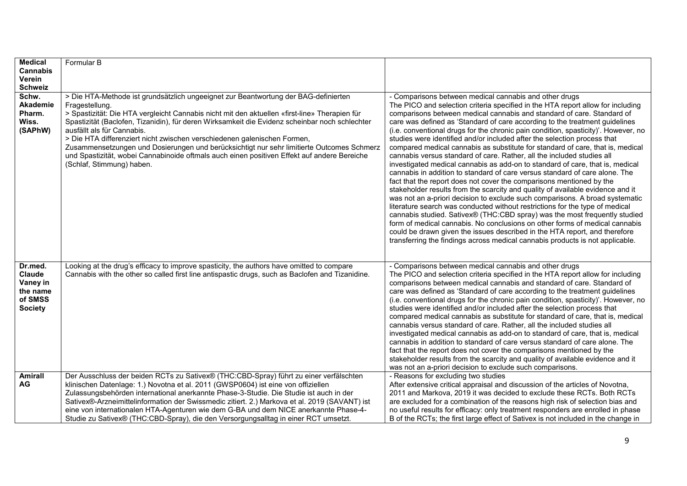| <b>Medical</b>                                                                | Formular B                                                                                                                                                                                                                                                                                                                                                                                                                                                                                                                                                                                                                                  |                                                                                                                                                                                                                                                                                                                                                                                                                                                                                                                                                                                                                                                                                                                                                                                                                                                                                                                                                                                                                                                                                                                                                                                                                                                                                                                                                                                                                                                        |
|-------------------------------------------------------------------------------|---------------------------------------------------------------------------------------------------------------------------------------------------------------------------------------------------------------------------------------------------------------------------------------------------------------------------------------------------------------------------------------------------------------------------------------------------------------------------------------------------------------------------------------------------------------------------------------------------------------------------------------------|--------------------------------------------------------------------------------------------------------------------------------------------------------------------------------------------------------------------------------------------------------------------------------------------------------------------------------------------------------------------------------------------------------------------------------------------------------------------------------------------------------------------------------------------------------------------------------------------------------------------------------------------------------------------------------------------------------------------------------------------------------------------------------------------------------------------------------------------------------------------------------------------------------------------------------------------------------------------------------------------------------------------------------------------------------------------------------------------------------------------------------------------------------------------------------------------------------------------------------------------------------------------------------------------------------------------------------------------------------------------------------------------------------------------------------------------------------|
| Cannabis                                                                      |                                                                                                                                                                                                                                                                                                                                                                                                                                                                                                                                                                                                                                             |                                                                                                                                                                                                                                                                                                                                                                                                                                                                                                                                                                                                                                                                                                                                                                                                                                                                                                                                                                                                                                                                                                                                                                                                                                                                                                                                                                                                                                                        |
| Verein                                                                        |                                                                                                                                                                                                                                                                                                                                                                                                                                                                                                                                                                                                                                             |                                                                                                                                                                                                                                                                                                                                                                                                                                                                                                                                                                                                                                                                                                                                                                                                                                                                                                                                                                                                                                                                                                                                                                                                                                                                                                                                                                                                                                                        |
| <b>Schweiz</b>                                                                |                                                                                                                                                                                                                                                                                                                                                                                                                                                                                                                                                                                                                                             |                                                                                                                                                                                                                                                                                                                                                                                                                                                                                                                                                                                                                                                                                                                                                                                                                                                                                                                                                                                                                                                                                                                                                                                                                                                                                                                                                                                                                                                        |
| Schw.<br>Akademie<br>Pharm.<br>Wiss.<br>(SAPhW)                               | > Die HTA-Methode ist grundsätzlich ungeeignet zur Beantwortung der BAG-definierten<br>Fragestellung.<br>> Spastizität: Die HTA vergleicht Cannabis nicht mit den aktuellen «first-line» Therapien für<br>Spastizität (Baclofen, Tizanidin), für deren Wirksamkeit die Evidenz scheinbar noch schlechter<br>ausfällt als für Cannabis.<br>> Die HTA differenziert nicht zwischen verschiedenen galenischen Formen,<br>Zusammensetzungen und Dosierungen und berücksichtigt nur sehr limitierte Outcomes Schmerz<br>und Spastizität, wobei Cannabinoide oftmals auch einen positiven Effekt auf andere Bereiche<br>(Schlaf, Stimmung) haben. | - Comparisons between medical cannabis and other drugs<br>The PICO and selection criteria specified in the HTA report allow for including<br>comparisons between medical cannabis and standard of care. Standard of<br>care was defined as 'Standard of care according to the treatment guidelines<br>(i.e. conventional drugs for the chronic pain condition, spasticity)'. However, no<br>studies were identified and/or included after the selection process that<br>compared medical cannabis as substitute for standard of care, that is, medical<br>cannabis versus standard of care. Rather, all the included studies all<br>investigated medical cannabis as add-on to standard of care, that is, medical<br>cannabis in addition to standard of care versus standard of care alone. The<br>fact that the report does not cover the comparisons mentioned by the<br>stakeholder results from the scarcity and quality of available evidence and it<br>was not an a-priori decision to exclude such comparisons. A broad systematic<br>literature search was conducted without restrictions for the type of medical<br>cannabis studied. Sativex® (THC:CBD spray) was the most frequently studied<br>form of medical cannabis. No conclusions on other forms of medical cannabis<br>could be drawn given the issues described in the HTA report, and therefore<br>transferring the findings across medical cannabis products is not applicable. |
| Dr.med.<br><b>Claude</b><br>Vaney in<br>the name<br>of SMSS<br><b>Society</b> | Looking at the drug's efficacy to improve spasticity, the authors have omitted to compare<br>Cannabis with the other so called first line antispastic drugs, such as Baclofen and Tizanidine.                                                                                                                                                                                                                                                                                                                                                                                                                                               | - Comparisons between medical cannabis and other drugs<br>The PICO and selection criteria specified in the HTA report allow for including<br>comparisons between medical cannabis and standard of care. Standard of<br>care was defined as 'Standard of care according to the treatment guidelines<br>(i.e. conventional drugs for the chronic pain condition, spasticity)'. However, no<br>studies were identified and/or included after the selection process that<br>compared medical cannabis as substitute for standard of care, that is, medical<br>cannabis versus standard of care. Rather, all the included studies all<br>investigated medical cannabis as add-on to standard of care, that is, medical<br>cannabis in addition to standard of care versus standard of care alone. The<br>fact that the report does not cover the comparisons mentioned by the<br>stakeholder results from the scarcity and quality of available evidence and it<br>was not an a-priori decision to exclude such comparisons.                                                                                                                                                                                                                                                                                                                                                                                                                                |
| <b>Amirall</b><br>AG                                                          | Der Ausschluss der beiden RCTs zu Sativex® (THC:CBD-Spray) führt zu einer verfälschten<br>klinischen Datenlage: 1.) Novotna et al. 2011 (GWSP0604) ist eine von offiziellen<br>Zulassungsbehörden international anerkannte Phase-3-Studie. Die Studie ist auch in der<br>Sativex®-Arzneimittelinformation der Swissmedic zitiert. 2.) Markova et al. 2019 (SAVANT) ist<br>eine von internationalen HTA-Agenturen wie dem G-BA und dem NICE anerkannte Phase-4-<br>Studie zu Sativex® (THC:CBD-Spray), die den Versorgungsalltag in einer RCT umsetzt.                                                                                       | - Reasons for excluding two studies<br>After extensive critical appraisal and discussion of the articles of Novotna,<br>2011 and Markova, 2019 it was decided to exclude these RCTs. Both RCTs<br>are excluded for a combination of the reasons high risk of selection bias and<br>no useful results for efficacy: only treatment responders are enrolled in phase<br>B of the RCTs; the first large effect of Sativex is not included in the change in                                                                                                                                                                                                                                                                                                                                                                                                                                                                                                                                                                                                                                                                                                                                                                                                                                                                                                                                                                                                |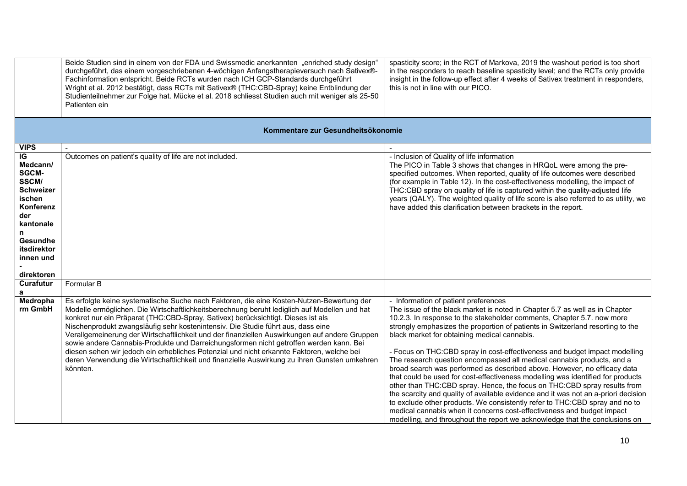|                                                                                                                                                                   | Beide Studien sind in einem von der FDA und Swissmedic anerkannten "enriched study design"<br>durchgeführt, das einem vorgeschriebenen 4-wöchigen Anfangstherapieversuch nach Sativex®-<br>Fachinformation entspricht. Beide RCTs wurden nach ICH GCP-Standards durchgeführt<br>Wright et al. 2012 bestätigt, dass RCTs mit Sativex® (THC:CBD-Spray) keine Entblindung der<br>Studienteilnehmer zur Folge hat. Mücke et al. 2018 schliesst Studien auch mit weniger als 25-50<br>Patienten ein                                                                                                                                                                           | spasticity score; in the RCT of Markova, 2019 the washout period is too short<br>in the responders to reach baseline spasticity level; and the RCTs only provide<br>insight in the follow-up effect after 4 weeks of Sativex treatment in responders,<br>this is not in line with our PICO.                                                                                                                                                                                                                                                                                                                                                                                                                                                                                                                                                                                                                                                                                                                              |
|-------------------------------------------------------------------------------------------------------------------------------------------------------------------|--------------------------------------------------------------------------------------------------------------------------------------------------------------------------------------------------------------------------------------------------------------------------------------------------------------------------------------------------------------------------------------------------------------------------------------------------------------------------------------------------------------------------------------------------------------------------------------------------------------------------------------------------------------------------|--------------------------------------------------------------------------------------------------------------------------------------------------------------------------------------------------------------------------------------------------------------------------------------------------------------------------------------------------------------------------------------------------------------------------------------------------------------------------------------------------------------------------------------------------------------------------------------------------------------------------------------------------------------------------------------------------------------------------------------------------------------------------------------------------------------------------------------------------------------------------------------------------------------------------------------------------------------------------------------------------------------------------|
|                                                                                                                                                                   | Kommentare zur Gesundheitsökonomie                                                                                                                                                                                                                                                                                                                                                                                                                                                                                                                                                                                                                                       |                                                                                                                                                                                                                                                                                                                                                                                                                                                                                                                                                                                                                                                                                                                                                                                                                                                                                                                                                                                                                          |
| <b>VIPS</b>                                                                                                                                                       |                                                                                                                                                                                                                                                                                                                                                                                                                                                                                                                                                                                                                                                                          |                                                                                                                                                                                                                                                                                                                                                                                                                                                                                                                                                                                                                                                                                                                                                                                                                                                                                                                                                                                                                          |
| IG<br>Medcann/<br><b>SGCM-</b><br>SSCM/<br><b>Schweizer</b><br>ischen<br>Konferenz<br>der<br>kantonale<br>n<br>Gesundhe<br>itsdirektor<br>innen und<br>direktoren | Outcomes on patient's quality of life are not included.                                                                                                                                                                                                                                                                                                                                                                                                                                                                                                                                                                                                                  | - Inclusion of Quality of life information<br>The PICO in Table 3 shows that changes in HRQoL were among the pre-<br>specified outcomes. When reported, quality of life outcomes were described<br>(for example in Table 12). In the cost-effectiveness modelling, the impact of<br>THC:CBD spray on quality of life is captured within the quality-adjusted life<br>years (QALY). The weighted quality of life score is also referred to as utility, we<br>have added this clarification between brackets in the report.                                                                                                                                                                                                                                                                                                                                                                                                                                                                                                |
| Curafutur                                                                                                                                                         | Formular B                                                                                                                                                                                                                                                                                                                                                                                                                                                                                                                                                                                                                                                               |                                                                                                                                                                                                                                                                                                                                                                                                                                                                                                                                                                                                                                                                                                                                                                                                                                                                                                                                                                                                                          |
| a<br>Medropha                                                                                                                                                     | Es erfolgte keine systematische Suche nach Faktoren, die eine Kosten-Nutzen-Bewertung der                                                                                                                                                                                                                                                                                                                                                                                                                                                                                                                                                                                | - Information of patient preferences                                                                                                                                                                                                                                                                                                                                                                                                                                                                                                                                                                                                                                                                                                                                                                                                                                                                                                                                                                                     |
| rm GmbH                                                                                                                                                           | Modelle ermöglichen. Die Wirtschaftlichkeitsberechnung beruht lediglich auf Modellen und hat<br>konkret nur ein Präparat (THC:CBD-Spray, Sativex) berücksichtigt. Dieses ist als<br>Nischenprodukt zwangsläufig sehr kostenintensiv. Die Studie führt aus, dass eine<br>Verallgemeinerung der Wirtschaftlichkeit und der finanziellen Auswirkungen auf andere Gruppen<br>sowie andere Cannabis-Produkte und Darreichungsformen nicht getroffen werden kann. Bei<br>diesen sehen wir jedoch ein erhebliches Potenzial und nicht erkannte Faktoren, welche bei<br>deren Verwendung die Wirtschaftlichkeit und finanzielle Auswirkung zu ihren Gunsten umkehren<br>könnten. | The issue of the black market is noted in Chapter 5.7 as well as in Chapter<br>10.2.3. In response to the stakeholder comments, Chapter 5.7. now more<br>strongly emphasizes the proportion of patients in Switzerland resorting to the<br>black market for obtaining medical cannabis.<br>- Focus on THC:CBD spray in cost-effectiveness and budget impact modelling<br>The research question encompassed all medical cannabis products, and a<br>broad search was performed as described above. However, no efficacy data<br>that could be used for cost-effectiveness modelling was identified for products<br>other than THC:CBD spray. Hence, the focus on THC:CBD spray results from<br>the scarcity and quality of available evidence and it was not an a-priori decision<br>to exclude other products. We consistently refer to THC:CBD spray and no to<br>medical cannabis when it concerns cost-effectiveness and budget impact<br>modelling, and throughout the report we acknowledge that the conclusions on |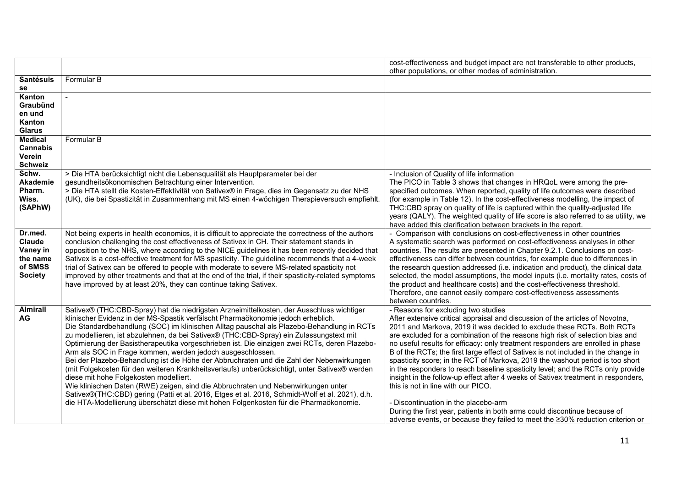|                                                                        |                                                                                                                                                                                                                                                                                                                                                                                                                                                                                                                                                                                                                                                                                                                                                                                                                                                                                                                                                                                                                                                            | cost-effectiveness and budget impact are not transferable to other products,<br>other populations, or other modes of administration.                                                                                                                                                                                                                                                                                                                                                                                                                                                                                                                                                                                                                                                                                                                                                                                                                        |
|------------------------------------------------------------------------|------------------------------------------------------------------------------------------------------------------------------------------------------------------------------------------------------------------------------------------------------------------------------------------------------------------------------------------------------------------------------------------------------------------------------------------------------------------------------------------------------------------------------------------------------------------------------------------------------------------------------------------------------------------------------------------------------------------------------------------------------------------------------------------------------------------------------------------------------------------------------------------------------------------------------------------------------------------------------------------------------------------------------------------------------------|-------------------------------------------------------------------------------------------------------------------------------------------------------------------------------------------------------------------------------------------------------------------------------------------------------------------------------------------------------------------------------------------------------------------------------------------------------------------------------------------------------------------------------------------------------------------------------------------------------------------------------------------------------------------------------------------------------------------------------------------------------------------------------------------------------------------------------------------------------------------------------------------------------------------------------------------------------------|
| <b>Santésuis</b><br>se                                                 | Formular B                                                                                                                                                                                                                                                                                                                                                                                                                                                                                                                                                                                                                                                                                                                                                                                                                                                                                                                                                                                                                                                 |                                                                                                                                                                                                                                                                                                                                                                                                                                                                                                                                                                                                                                                                                                                                                                                                                                                                                                                                                             |
| Kanton<br>Graubünd<br>en und<br>Kanton<br><b>Glarus</b>                |                                                                                                                                                                                                                                                                                                                                                                                                                                                                                                                                                                                                                                                                                                                                                                                                                                                                                                                                                                                                                                                            |                                                                                                                                                                                                                                                                                                                                                                                                                                                                                                                                                                                                                                                                                                                                                                                                                                                                                                                                                             |
| <b>Medical</b><br><b>Cannabis</b><br>Verein<br><b>Schweiz</b>          | Formular B                                                                                                                                                                                                                                                                                                                                                                                                                                                                                                                                                                                                                                                                                                                                                                                                                                                                                                                                                                                                                                                 |                                                                                                                                                                                                                                                                                                                                                                                                                                                                                                                                                                                                                                                                                                                                                                                                                                                                                                                                                             |
| Schw.<br>Akademie<br>Pharm.<br>Wiss.<br>(SAPhW)                        | > Die HTA berücksichtigt nicht die Lebensqualität als Hauptparameter bei der<br>gesundheitsökonomischen Betrachtung einer Intervention.<br>> Die HTA stellt die Kosten-Effektivität von Sativex® in Frage, dies im Gegensatz zu der NHS<br>(UK), die bei Spastizität in Zusammenhang mit MS einen 4-wöchigen Therapieversuch empfiehlt.                                                                                                                                                                                                                                                                                                                                                                                                                                                                                                                                                                                                                                                                                                                    | - Inclusion of Quality of life information<br>The PICO in Table 3 shows that changes in HRQoL were among the pre-<br>specified outcomes. When reported, quality of life outcomes were described<br>(for example in Table 12). In the cost-effectiveness modelling, the impact of<br>THC:CBD spray on quality of life is captured within the quality-adjusted life<br>years (QALY). The weighted quality of life score is also referred to as utility, we<br>have added this clarification between brackets in the report.                                                                                                                                                                                                                                                                                                                                                                                                                                   |
| Dr.med.<br>Claude<br>Vaney in<br>the name<br>of SMSS<br><b>Society</b> | Not being experts in health economics, it is difficult to appreciate the correctness of the authors<br>conclusion challenging the cost effectiveness of Sativex in CH. Their statement stands in<br>opposition to the NHS, where according to the NICE guidelines it has been recently decided that<br>Sativex is a cost-effective treatment for MS spasticity. The guideline recommends that a 4-week<br>trial of Sativex can be offered to people with moderate to severe MS-related spasticity not<br>improved by other treatments and that at the end of the trial, if their spasticity-related symptoms<br>have improved by at least 20%, they can continue taking Sativex.                                                                                                                                                                                                                                                                                                                                                                           | - Comparison with conclusions on cost-effectiveness in other countries<br>A systematic search was performed on cost-effectiveness analyses in other<br>countries. The results are presented in Chapter 9.2.1. Conclusions on cost-<br>effectiveness can differ between countries, for example due to differences in<br>the research question addressed (i.e. indication and product), the clinical data<br>selected, the model assumptions, the model inputs (i.e. mortality rates, costs of<br>the product and healthcare costs) and the cost-effectiveness threshold.<br>Therefore, one cannot easily compare cost-effectiveness assessments<br>between countries.                                                                                                                                                                                                                                                                                        |
| <b>Almirall</b><br>AG                                                  | Sativex® (THC:CBD-Spray) hat die niedrigsten Arzneimittelkosten, der Ausschluss wichtiger<br>klinischer Evidenz in der MS-Spastik verfälscht Pharmaökonomie jedoch erheblich.<br>Die Standardbehandlung (SOC) im klinischen Alltag pauschal als Plazebo-Behandlung in RCTs<br>zu modellieren, ist abzulehnen, da bei Sativex® (THC:CBD-Spray) ein Zulassungstext mit<br>Optimierung der Basistherapeutika vorgeschrieben ist. Die einzigen zwei RCTs, deren Plazebo-<br>Arm als SOC in Frage kommen, werden jedoch ausgeschlossen.<br>Bei der Plazebo-Behandlung ist die Höhe der Abbruchraten und die Zahl der Nebenwirkungen<br>(mit Folgekosten für den weiteren Krankheitsverlaufs) unberücksichtigt, unter Sativex® werden<br>diese mit hohe Folgekosten modelliert.<br>Wie klinischen Daten (RWE) zeigen, sind die Abbruchraten und Nebenwirkungen unter<br>Sativex®(THC:CBD) gering (Patti et al. 2016, Etges et al. 2016, Schmidt-Wolf et al. 2021), d.h.<br>die HTA-Modellierung überschätzt diese mit hohen Folgenkosten für die Pharmaökonomie. | - Reasons for excluding two studies<br>After extensive critical appraisal and discussion of the articles of Novotna,<br>2011 and Markova, 2019 it was decided to exclude these RCTs. Both RCTs<br>are excluded for a combination of the reasons high risk of selection bias and<br>no useful results for efficacy: only treatment responders are enrolled in phase<br>B of the RCTs; the first large effect of Sativex is not included in the change in<br>spasticity score; in the RCT of Markova, 2019 the washout period is too short<br>in the responders to reach baseline spasticity level; and the RCTs only provide<br>insight in the follow-up effect after 4 weeks of Sativex treatment in responders,<br>this is not in line with our PICO.<br>Discontinuation in the placebo-arm<br>During the first year, patients in both arms could discontinue because of<br>adverse events, or because they failed to meet the ≥30% reduction criterion or |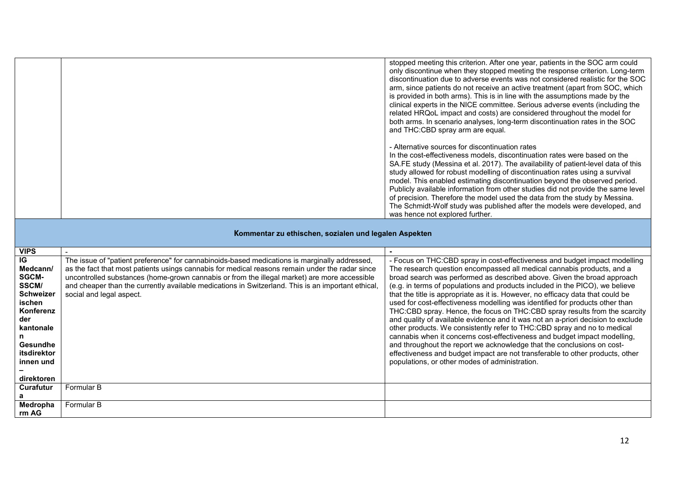|  | stopped meeting this criterion. After one year, patients in the SOC arm could<br>only discontinue when they stopped meeting the response criterion. Long-term<br>discontinuation due to adverse events was not considered realistic for the SOC<br>arm, since patients do not receive an active treatment (apart from SOC, which<br>is provided in both arms). This is in line with the assumptions made by the<br>clinical experts in the NICE committee. Serious adverse events (including the<br>related HRQoL impact and costs) are considered throughout the model for<br>both arms. In scenario analyses, long-term discontinuation rates in the SOC<br>and THC:CBD spray arm are equal. |
|--|------------------------------------------------------------------------------------------------------------------------------------------------------------------------------------------------------------------------------------------------------------------------------------------------------------------------------------------------------------------------------------------------------------------------------------------------------------------------------------------------------------------------------------------------------------------------------------------------------------------------------------------------------------------------------------------------|
|  | - Alternative sources for discontinuation rates<br>In the cost-effectiveness models, discontinuation rates were based on the<br>SA.FE study (Messina et al. 2017). The availability of patient-level data of this<br>study allowed for robust modelling of discontinuation rates using a survival<br>model. This enabled estimating discontinuation beyond the observed period.<br>Publicly available information from other studies did not provide the same level<br>of precision. Therefore the model used the data from the study by Messina.<br>The Schmidt-Wolf study was published after the models were developed, and<br>was hence not explored further.                              |

| <b>VIPS</b>                                                                                                                                                       |                                                                                                                                                                                                                                                                                                                                                                                                                                    |                                                                                                                                                                                                                                                                                                                                                                                                                                                                                                                                                                                                                                                                                                                                                                                                                                                                                                                                                                                                                            |
|-------------------------------------------------------------------------------------------------------------------------------------------------------------------|------------------------------------------------------------------------------------------------------------------------------------------------------------------------------------------------------------------------------------------------------------------------------------------------------------------------------------------------------------------------------------------------------------------------------------|----------------------------------------------------------------------------------------------------------------------------------------------------------------------------------------------------------------------------------------------------------------------------------------------------------------------------------------------------------------------------------------------------------------------------------------------------------------------------------------------------------------------------------------------------------------------------------------------------------------------------------------------------------------------------------------------------------------------------------------------------------------------------------------------------------------------------------------------------------------------------------------------------------------------------------------------------------------------------------------------------------------------------|
| IG<br>Medcann/<br>SGCM-<br><b>SSCM/</b><br><b>Schweizer</b><br>ischen<br>Konferenz<br>der<br>kantonale<br>n<br>Gesundhe<br>itsdirektor<br>innen und<br>direktoren | The issue of "patient preference" for cannabinoids-based medications is marginally addressed,<br>as the fact that most patients usings cannabis for medical reasons remain under the radar since<br>uncontrolled substances (home-grown cannabis or from the illegal market) are more accessible<br>and cheaper than the currently available medications in Switzerland. This is an important ethical,<br>social and legal aspect. | - Focus on THC:CBD spray in cost-effectiveness and budget impact modelling<br>The research question encompassed all medical cannabis products, and a<br>broad search was performed as described above. Given the broad approach<br>(e.g. in terms of populations and products included in the PICO), we believe<br>that the title is appropriate as it is. However, no efficacy data that could be<br>used for cost-effectiveness modelling was identified for products other than<br>THC:CBD spray. Hence, the focus on THC:CBD spray results from the scarcity<br>and quality of available evidence and it was not an a-priori decision to exclude<br>other products. We consistently refer to THC:CBD spray and no to medical<br>cannabis when it concerns cost-effectiveness and budget impact modelling,<br>and throughout the report we acknowledge that the conclusions on cost-<br>effectiveness and budget impact are not transferable to other products, other<br>populations, or other modes of administration. |

**Kommentar zu ethischen, sozialen und legalen Aspekten**

| ------------     |            |  |
|------------------|------------|--|
|                  |            |  |
| direktoren       |            |  |
| <b>Curafutur</b> | Formular B |  |
| а                |            |  |
| Medropha         | Formular B |  |
| rm AG            |            |  |
|                  |            |  |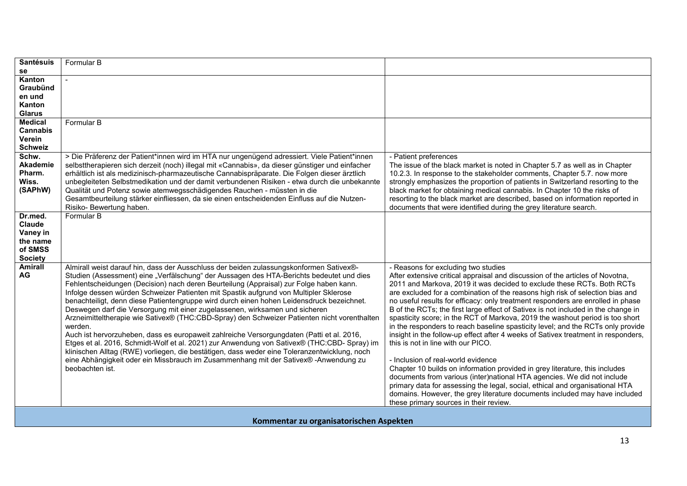| <b>Santésuis</b> | Formular B                                                                                      |                                                                                   |
|------------------|-------------------------------------------------------------------------------------------------|-----------------------------------------------------------------------------------|
| se               |                                                                                                 |                                                                                   |
| Kanton           |                                                                                                 |                                                                                   |
| Graubünd         |                                                                                                 |                                                                                   |
| en und           |                                                                                                 |                                                                                   |
| Kanton           |                                                                                                 |                                                                                   |
| <b>Glarus</b>    |                                                                                                 |                                                                                   |
| <b>Medical</b>   | Formular B                                                                                      |                                                                                   |
| <b>Cannabis</b>  |                                                                                                 |                                                                                   |
| Verein           |                                                                                                 |                                                                                   |
| <b>Schweiz</b>   |                                                                                                 |                                                                                   |
| Schw.            | > Die Präferenz der Patient*innen wird im HTA nur ungenügend adressiert. Viele Patient*innen    | - Patient preferences                                                             |
| Akademie         | selbsttherapieren sich derzeit (noch) illegal mit «Cannabis», da dieser günstiger und einfacher | The issue of the black market is noted in Chapter 5.7 as well as in Chapter       |
| Pharm.           | erhältlich ist als medizinisch-pharmazeutische Cannabispräparate. Die Folgen dieser ärztlich    | 10.2.3. In response to the stakeholder comments, Chapter 5.7. now more            |
| Wiss.            | unbegleiteten Selbstmedikation und der damit verbundenen Risiken - etwa durch die unbekannte    | strongly emphasizes the proportion of patients in Switzerland resorting to the    |
| (SAPhW)          | Qualität und Potenz sowie atemwegsschädigendes Rauchen - müssten in die                         | black market for obtaining medical cannabis. In Chapter 10 the risks of           |
|                  | Gesamtbeurteilung stärker einfliessen, da sie einen entscheidenden Einfluss auf die Nutzen-     | resorting to the black market are described, based on information reported in     |
|                  | Risiko-Bewertung haben.                                                                         | documents that were identified during the grey literature search.                 |
| Dr.med.          | Formular B                                                                                      |                                                                                   |
| Claude           |                                                                                                 |                                                                                   |
| Vaney in         |                                                                                                 |                                                                                   |
| the name         |                                                                                                 |                                                                                   |
| of SMSS          |                                                                                                 |                                                                                   |
| <b>Society</b>   |                                                                                                 |                                                                                   |
| <b>Amirall</b>   | Almirall weist darauf hin, dass der Ausschluss der beiden zulassungskonformen Sativex®-         | - Reasons for excluding two studies                                               |
| AG               | Studien (Assessment) eine "Verfälschung" der Aussagen des HTA-Berichts bedeutet und dies        | After extensive critical appraisal and discussion of the articles of Novotna,     |
|                  | Fehlentscheidungen (Decision) nach deren Beurteilung (Appraisal) zur Folge haben kann.          | 2011 and Markova, 2019 it was decided to exclude these RCTs. Both RCTs            |
|                  |                                                                                                 |                                                                                   |
|                  | Infolge dessen würden Schweizer Patienten mit Spastik aufgrund von Multipler Sklerose           | are excluded for a combination of the reasons high risk of selection bias and     |
|                  | benachteiligt, denn diese Patientengruppe wird durch einen hohen Leidensdruck bezeichnet.       | no useful results for efficacy: only treatment responders are enrolled in phase   |
|                  | Deswegen darf die Versorgung mit einer zugelassenen, wirksamen und sicheren                     | B of the RCTs; the first large effect of Sativex is not included in the change in |
|                  | Arzneimitteltherapie wie Sativex® (THC:CBD-Spray) den Schweizer Patienten nicht vorenthalten    | spasticity score; in the RCT of Markova, 2019 the washout period is too short     |
|                  | werden.                                                                                         | in the responders to reach baseline spasticity level; and the RCTs only provide   |
|                  | Auch ist hervorzuheben, dass es europaweit zahlreiche Versorgungdaten (Patti et al. 2016,       | insight in the follow-up effect after 4 weeks of Sativex treatment in responders, |
|                  | Etges et al. 2016, Schmidt-Wolf et al. 2021) zur Anwendung von Sativex® (THC:CBD- Spray) im     | this is not in line with our PICO.                                                |
|                  | klinischen Alltag (RWE) vorliegen, die bestätigen, dass weder eine Toleranzentwicklung, noch    |                                                                                   |
|                  | eine Abhängigkeit oder ein Missbrauch im Zusammenhang mit der Sativex® -Anwendung zu            | - Inclusion of real-world evidence                                                |
|                  | beobachten ist.                                                                                 | Chapter 10 builds on information provided in grey literature, this includes       |
|                  |                                                                                                 | documents from various (inter)national HTA agencies. We did not include           |
|                  |                                                                                                 | primary data for assessing the legal, social, ethical and organisational HTA      |
|                  |                                                                                                 | domains. However, the grey literature documents included may have included        |
|                  |                                                                                                 | these primary sources in their review.                                            |
|                  |                                                                                                 |                                                                                   |

**Kommentar zu organisatorischen Aspekten**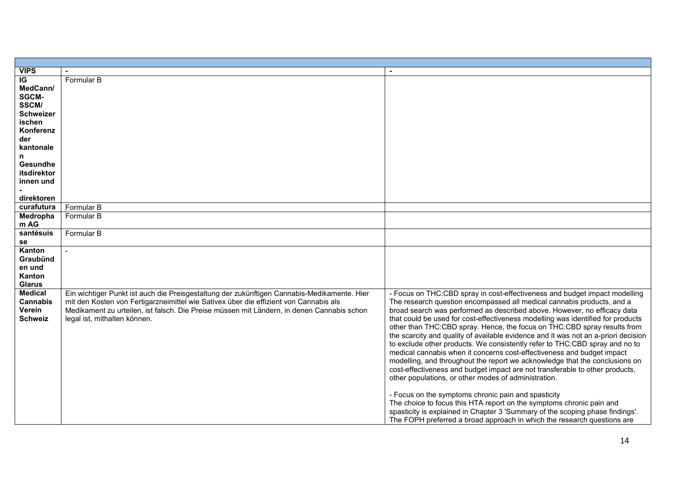| <b>VIPS</b>      |                                                                                             |                                                                                                                             |
|------------------|---------------------------------------------------------------------------------------------|-----------------------------------------------------------------------------------------------------------------------------|
| IG               | Formular B                                                                                  |                                                                                                                             |
| MedCann/         |                                                                                             |                                                                                                                             |
| <b>SGCM-</b>     |                                                                                             |                                                                                                                             |
| SSCM/            |                                                                                             |                                                                                                                             |
| <b>Schweizer</b> |                                                                                             |                                                                                                                             |
| ischen           |                                                                                             |                                                                                                                             |
| Konferenz        |                                                                                             |                                                                                                                             |
| der              |                                                                                             |                                                                                                                             |
| kantonale        |                                                                                             |                                                                                                                             |
| n                |                                                                                             |                                                                                                                             |
| Gesundhe         |                                                                                             |                                                                                                                             |
| itsdirektor      |                                                                                             |                                                                                                                             |
| innen und        |                                                                                             |                                                                                                                             |
|                  |                                                                                             |                                                                                                                             |
| direktoren       |                                                                                             |                                                                                                                             |
| curafutura       | Formular B                                                                                  |                                                                                                                             |
| Medropha         | Formular B                                                                                  |                                                                                                                             |
| m AG             |                                                                                             |                                                                                                                             |
| santésuis        | Formular B                                                                                  |                                                                                                                             |
| se               |                                                                                             |                                                                                                                             |
| Kanton           |                                                                                             |                                                                                                                             |
| Graubünd         |                                                                                             |                                                                                                                             |
| en und           |                                                                                             |                                                                                                                             |
| Kanton           |                                                                                             |                                                                                                                             |
| <b>Glarus</b>    |                                                                                             |                                                                                                                             |
| <b>Medical</b>   | Ein wichtiger Punkt ist auch die Preisgestaltung der zukünftigen Cannabis-Medikamente. Hier | - Focus on THC:CBD spray in cost-effectiveness and budget impact modelling                                                  |
| Cannabis         | mit den Kosten von Fertigarzneimittel wie Sativex über die effizient von Cannabis als       | The research question encompassed all medical cannabis products, and a                                                      |
| Verein           | Medikament zu urteilen, ist falsch. Die Preise müssen mit Ländern, in denen Cannabis schon  | broad search was performed as described above. However, no efficacy data                                                    |
| <b>Schweiz</b>   | legal ist, mithalten können.                                                                | that could be used for cost-effectiveness modelling was identified for products                                             |
|                  |                                                                                             | other than THC:CBD spray. Hence, the focus on THC:CBD spray results from                                                    |
|                  |                                                                                             | the scarcity and quality of available evidence and it was not an a-priori decision                                          |
|                  |                                                                                             | to exclude other products. We consistently refer to THC:CBD spray and no to                                                 |
|                  |                                                                                             | medical cannabis when it concerns cost-effectiveness and budget impact                                                      |
|                  |                                                                                             | modelling, and throughout the report we acknowledge that the conclusions on                                                 |
|                  |                                                                                             |                                                                                                                             |
|                  |                                                                                             | cost-effectiveness and budget impact are not transferable to other products,                                                |
|                  |                                                                                             | other populations, or other modes of administration.                                                                        |
|                  |                                                                                             |                                                                                                                             |
|                  |                                                                                             | - Focus on the symptoms chronic pain and spasticity<br>The choice to focus this HTA report on the symptoms chronic pain and |
|                  |                                                                                             |                                                                                                                             |
|                  |                                                                                             | spasticity is explained in Chapter 3 'Summary of the scoping phase findings'.                                               |
|                  |                                                                                             | The FOPH preferred a broad approach in which the research questions are                                                     |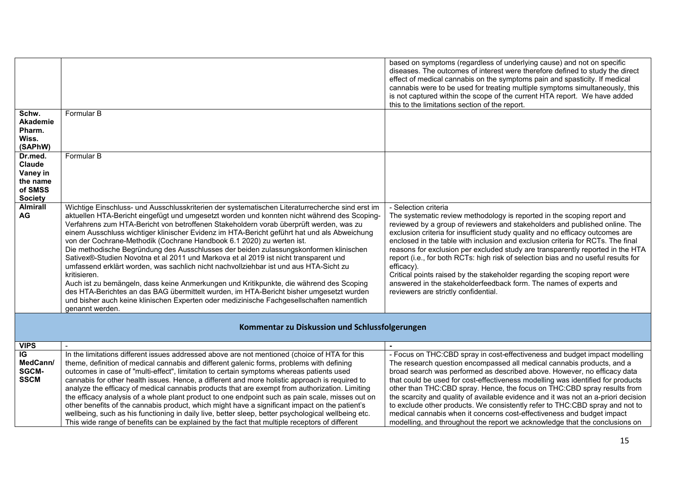|                 |                                                                                                     | based on symptoms (regardless of underlying cause) and not on specific<br>diseases. The outcomes of interest were therefore defined to study the direct<br>effect of medical cannabis on the symptoms pain and spasticity. If medical<br>cannabis were to be used for treating multiple symptoms simultaneously, this<br>is not captured within the scope of the current HTA report. We have added<br>this to the limitations section of the report. |
|-----------------|-----------------------------------------------------------------------------------------------------|------------------------------------------------------------------------------------------------------------------------------------------------------------------------------------------------------------------------------------------------------------------------------------------------------------------------------------------------------------------------------------------------------------------------------------------------------|
| Schw.           | Formular B                                                                                          |                                                                                                                                                                                                                                                                                                                                                                                                                                                      |
| <b>Akademie</b> |                                                                                                     |                                                                                                                                                                                                                                                                                                                                                                                                                                                      |
| Pharm.          |                                                                                                     |                                                                                                                                                                                                                                                                                                                                                                                                                                                      |
| Wiss.           |                                                                                                     |                                                                                                                                                                                                                                                                                                                                                                                                                                                      |
| (SAPhW)         |                                                                                                     |                                                                                                                                                                                                                                                                                                                                                                                                                                                      |
| Dr.med.         | Formular B                                                                                          |                                                                                                                                                                                                                                                                                                                                                                                                                                                      |
| <b>Claude</b>   |                                                                                                     |                                                                                                                                                                                                                                                                                                                                                                                                                                                      |
| Vaney in        |                                                                                                     |                                                                                                                                                                                                                                                                                                                                                                                                                                                      |
| the name        |                                                                                                     |                                                                                                                                                                                                                                                                                                                                                                                                                                                      |
| of SMSS         |                                                                                                     |                                                                                                                                                                                                                                                                                                                                                                                                                                                      |
| <b>Society</b>  |                                                                                                     |                                                                                                                                                                                                                                                                                                                                                                                                                                                      |
| <b>Almirall</b> | Wichtige Einschluss- und Ausschlusskriterien der systematischen Literaturrecherche sind erst im     | - Selection criteria                                                                                                                                                                                                                                                                                                                                                                                                                                 |
| AG              | aktuellen HTA-Bericht eingefügt und umgesetzt worden und konnten nicht während des Scoping-         | The systematic review methodology is reported in the scoping report and                                                                                                                                                                                                                                                                                                                                                                              |
|                 | Verfahrens zum HTA-Bericht von betroffenen Stakeholdern vorab überprüft werden, was zu              | reviewed by a group of reviewers and stakeholders and published online. The                                                                                                                                                                                                                                                                                                                                                                          |
|                 | einem Ausschluss wichtiger klinischer Evidenz im HTA-Bericht geführt hat und als Abweichung         | exclusion criteria for insufficient study quality and no efficacy outcomes are                                                                                                                                                                                                                                                                                                                                                                       |
|                 | von der Cochrane-Methodik (Cochrane Handbook 6.1 2020) zu werten ist.                               | enclosed in the table with inclusion and exclusion criteria for RCTs. The final                                                                                                                                                                                                                                                                                                                                                                      |
|                 | Die methodische Begründung des Ausschlusses der beiden zulassungskonformen klinischen               | reasons for exclusion per excluded study are transparently reported in the HTA                                                                                                                                                                                                                                                                                                                                                                       |
|                 | Sativex®-Studien Novotna et al 2011 und Markova et al 2019 ist nicht transparent und                | report (i.e., for both RCTs: high risk of selection bias and no useful results for                                                                                                                                                                                                                                                                                                                                                                   |
|                 | umfassend erklärt worden, was sachlich nicht nachvollziehbar ist und aus HTA-Sicht zu               | efficacy).                                                                                                                                                                                                                                                                                                                                                                                                                                           |
|                 | kritisieren.                                                                                        | Critical points raised by the stakeholder regarding the scoping report were                                                                                                                                                                                                                                                                                                                                                                          |
|                 | Auch ist zu bemängeln, dass keine Anmerkungen und Kritikpunkte, die während des Scoping             | answered in the stakeholderfeedback form. The names of experts and                                                                                                                                                                                                                                                                                                                                                                                   |
|                 | des HTA-Berichtes an das BAG übermittelt wurden, im HTA-Bericht bisher umgesetzt wurden             | reviewers are strictly confidential.                                                                                                                                                                                                                                                                                                                                                                                                                 |
|                 | und bisher auch keine klinischen Experten oder medizinische Fachgesellschaften namentlich           |                                                                                                                                                                                                                                                                                                                                                                                                                                                      |
|                 | genannt werden.                                                                                     |                                                                                                                                                                                                                                                                                                                                                                                                                                                      |
|                 | Kommentar zu Diskussion und Schlussfolgerungen                                                      |                                                                                                                                                                                                                                                                                                                                                                                                                                                      |
|                 |                                                                                                     |                                                                                                                                                                                                                                                                                                                                                                                                                                                      |
| <b>VIPS</b>     |                                                                                                     |                                                                                                                                                                                                                                                                                                                                                                                                                                                      |
| IG              | In the limitations different issues addressed above are not mentioned (choice of HTA for this       | - Focus on THC:CBD spray in cost-effectiveness and budget impact modelling                                                                                                                                                                                                                                                                                                                                                                           |
| MedCann/        | theme, definition of medical cannabis and different galenic forms, problems with defining           | The research question encompassed all medical cannabis products, and a                                                                                                                                                                                                                                                                                                                                                                               |
| SGCM-           | outcomes in case of "multi-effect", limitation to certain symptoms whereas patients used            | broad search was performed as described above. However, no efficacy data                                                                                                                                                                                                                                                                                                                                                                             |
| <b>SSCM</b>     | cannabis for other health issues. Hence, a different and more holistic approach is required to      | that could be used for cost-effectiveness modelling was identified for products                                                                                                                                                                                                                                                                                                                                                                      |
|                 | analyze the efficacy of medical cannabis products that are exempt from authorization. Limiting      | other than THC:CBD spray. Hence, the focus on THC:CBD spray results from                                                                                                                                                                                                                                                                                                                                                                             |
|                 | the efficacy analysis of a whole plant product to one endpoint such as pain scale, misses out on    | the scarcity and quality of available evidence and it was not an a-priori decision                                                                                                                                                                                                                                                                                                                                                                   |
|                 | other benefits of the cannabis product, which might have a significant impact on the patient's      | to exclude other products. We consistently refer to THC:CBD spray and not to                                                                                                                                                                                                                                                                                                                                                                         |
|                 | wellbeing, such as his functioning in daily live, better sleep, better psychological wellbeing etc. | medical cannabis when it concerns cost-effectiveness and budget impact                                                                                                                                                                                                                                                                                                                                                                               |
|                 | This wide range of benefits can be explained by the fact that multiple receptors of different       | modelling, and throughout the report we acknowledge that the conclusions on                                                                                                                                                                                                                                                                                                                                                                          |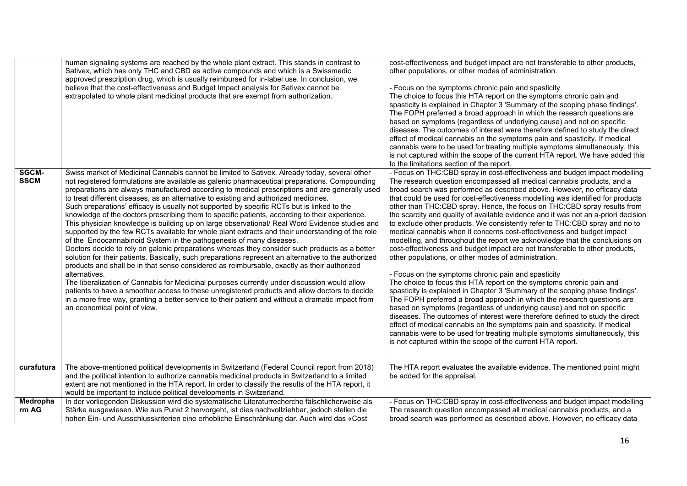| Sativex, which has only THC and CBD as active compounds and which is a Swissmedic<br>other populations, or other modes of administration.<br>approved prescription drug, which is usually reimbursed for in-label use. In conclusion, we<br>believe that the cost-effectiveness and Budget Impact analysis for Sativex cannot be<br>- Focus on the symptoms chronic pain and spasticity<br>extrapolated to whole plant medicinal products that are exempt from authorization.<br>The choice to focus this HTA report on the symptoms chronic pain and<br>spasticity is explained in Chapter 3 'Summary of the scoping phase findings'.<br>The FOPH preferred a broad approach in which the research questions are<br>based on symptoms (regardless of underlying cause) and not on specific<br>diseases. The outcomes of interest were therefore defined to study the direct<br>effect of medical cannabis on the symptoms pain and spasticity. If medical<br>cannabis were to be used for treating multiple symptoms simultaneously, this<br>is not captured within the scope of the current HTA report. We have added this<br>to the limitations section of the report.<br>SGCM-<br>- Focus on THC:CBD spray in cost-effectiveness and budget impact modelling<br>Swiss market of Medicinal Cannabis cannot be limited to Sativex. Already today, several other<br><b>SSCM</b><br>not registered formulations are available as galenic pharmaceutical preparations. Compounding<br>The research question encompassed all medical cannabis products, and a<br>preparations are always manufactured according to medical prescriptions and are generally used<br>broad search was performed as described above. However, no efficacy data | human signaling systems are reached by the whole plant extract. This stands in contrast to | cost-effectiveness and budget impact are not transferable to other products, |
|-------------------------------------------------------------------------------------------------------------------------------------------------------------------------------------------------------------------------------------------------------------------------------------------------------------------------------------------------------------------------------------------------------------------------------------------------------------------------------------------------------------------------------------------------------------------------------------------------------------------------------------------------------------------------------------------------------------------------------------------------------------------------------------------------------------------------------------------------------------------------------------------------------------------------------------------------------------------------------------------------------------------------------------------------------------------------------------------------------------------------------------------------------------------------------------------------------------------------------------------------------------------------------------------------------------------------------------------------------------------------------------------------------------------------------------------------------------------------------------------------------------------------------------------------------------------------------------------------------------------------------------------------------------------------------------------------------------------------------------------|--------------------------------------------------------------------------------------------|------------------------------------------------------------------------------|
|                                                                                                                                                                                                                                                                                                                                                                                                                                                                                                                                                                                                                                                                                                                                                                                                                                                                                                                                                                                                                                                                                                                                                                                                                                                                                                                                                                                                                                                                                                                                                                                                                                                                                                                                           |                                                                                            |                                                                              |
|                                                                                                                                                                                                                                                                                                                                                                                                                                                                                                                                                                                                                                                                                                                                                                                                                                                                                                                                                                                                                                                                                                                                                                                                                                                                                                                                                                                                                                                                                                                                                                                                                                                                                                                                           |                                                                                            |                                                                              |
|                                                                                                                                                                                                                                                                                                                                                                                                                                                                                                                                                                                                                                                                                                                                                                                                                                                                                                                                                                                                                                                                                                                                                                                                                                                                                                                                                                                                                                                                                                                                                                                                                                                                                                                                           |                                                                                            |                                                                              |
|                                                                                                                                                                                                                                                                                                                                                                                                                                                                                                                                                                                                                                                                                                                                                                                                                                                                                                                                                                                                                                                                                                                                                                                                                                                                                                                                                                                                                                                                                                                                                                                                                                                                                                                                           |                                                                                            |                                                                              |
|                                                                                                                                                                                                                                                                                                                                                                                                                                                                                                                                                                                                                                                                                                                                                                                                                                                                                                                                                                                                                                                                                                                                                                                                                                                                                                                                                                                                                                                                                                                                                                                                                                                                                                                                           |                                                                                            |                                                                              |
|                                                                                                                                                                                                                                                                                                                                                                                                                                                                                                                                                                                                                                                                                                                                                                                                                                                                                                                                                                                                                                                                                                                                                                                                                                                                                                                                                                                                                                                                                                                                                                                                                                                                                                                                           |                                                                                            |                                                                              |
|                                                                                                                                                                                                                                                                                                                                                                                                                                                                                                                                                                                                                                                                                                                                                                                                                                                                                                                                                                                                                                                                                                                                                                                                                                                                                                                                                                                                                                                                                                                                                                                                                                                                                                                                           |                                                                                            |                                                                              |
|                                                                                                                                                                                                                                                                                                                                                                                                                                                                                                                                                                                                                                                                                                                                                                                                                                                                                                                                                                                                                                                                                                                                                                                                                                                                                                                                                                                                                                                                                                                                                                                                                                                                                                                                           |                                                                                            |                                                                              |
|                                                                                                                                                                                                                                                                                                                                                                                                                                                                                                                                                                                                                                                                                                                                                                                                                                                                                                                                                                                                                                                                                                                                                                                                                                                                                                                                                                                                                                                                                                                                                                                                                                                                                                                                           |                                                                                            |                                                                              |
|                                                                                                                                                                                                                                                                                                                                                                                                                                                                                                                                                                                                                                                                                                                                                                                                                                                                                                                                                                                                                                                                                                                                                                                                                                                                                                                                                                                                                                                                                                                                                                                                                                                                                                                                           |                                                                                            |                                                                              |
|                                                                                                                                                                                                                                                                                                                                                                                                                                                                                                                                                                                                                                                                                                                                                                                                                                                                                                                                                                                                                                                                                                                                                                                                                                                                                                                                                                                                                                                                                                                                                                                                                                                                                                                                           |                                                                                            |                                                                              |
|                                                                                                                                                                                                                                                                                                                                                                                                                                                                                                                                                                                                                                                                                                                                                                                                                                                                                                                                                                                                                                                                                                                                                                                                                                                                                                                                                                                                                                                                                                                                                                                                                                                                                                                                           |                                                                                            |                                                                              |
|                                                                                                                                                                                                                                                                                                                                                                                                                                                                                                                                                                                                                                                                                                                                                                                                                                                                                                                                                                                                                                                                                                                                                                                                                                                                                                                                                                                                                                                                                                                                                                                                                                                                                                                                           |                                                                                            |                                                                              |
| to treat different diseases, as an alternative to existing and authorized medicines.<br>that could be used for cost-effectiveness modelling was identified for products<br>other than THC:CBD spray. Hence, the focus on THC:CBD spray results from<br>Such preparations' efficacy is usually not supported by specific RCTs but is linked to the                                                                                                                                                                                                                                                                                                                                                                                                                                                                                                                                                                                                                                                                                                                                                                                                                                                                                                                                                                                                                                                                                                                                                                                                                                                                                                                                                                                         |                                                                                            |                                                                              |
| knowledge of the doctors prescribing them to specific patients, according to their experience.<br>the scarcity and quality of available evidence and it was not an a-priori decision                                                                                                                                                                                                                                                                                                                                                                                                                                                                                                                                                                                                                                                                                                                                                                                                                                                                                                                                                                                                                                                                                                                                                                                                                                                                                                                                                                                                                                                                                                                                                      |                                                                                            |                                                                              |
| This physician knowledge is building up on large observational/ Real Word Evidence studies and<br>to exclude other products. We consistently refer to THC:CBD spray and no to                                                                                                                                                                                                                                                                                                                                                                                                                                                                                                                                                                                                                                                                                                                                                                                                                                                                                                                                                                                                                                                                                                                                                                                                                                                                                                                                                                                                                                                                                                                                                             |                                                                                            |                                                                              |
| supported by the few RCTs available for whole plant extracts and their understanding of the role<br>medical cannabis when it concerns cost-effectiveness and budget impact                                                                                                                                                                                                                                                                                                                                                                                                                                                                                                                                                                                                                                                                                                                                                                                                                                                                                                                                                                                                                                                                                                                                                                                                                                                                                                                                                                                                                                                                                                                                                                |                                                                                            |                                                                              |
| of the Endocannabinoid System in the pathogenesis of many diseases.<br>modelling, and throughout the report we acknowledge that the conclusions on                                                                                                                                                                                                                                                                                                                                                                                                                                                                                                                                                                                                                                                                                                                                                                                                                                                                                                                                                                                                                                                                                                                                                                                                                                                                                                                                                                                                                                                                                                                                                                                        |                                                                                            |                                                                              |
| Doctors decide to rely on galenic preparations whereas they consider such products as a better<br>cost-effectiveness and budget impact are not transferable to other products,                                                                                                                                                                                                                                                                                                                                                                                                                                                                                                                                                                                                                                                                                                                                                                                                                                                                                                                                                                                                                                                                                                                                                                                                                                                                                                                                                                                                                                                                                                                                                            |                                                                                            |                                                                              |
| solution for their patients. Basically, such preparations represent an alternative to the authorized<br>other populations, or other modes of administration.                                                                                                                                                                                                                                                                                                                                                                                                                                                                                                                                                                                                                                                                                                                                                                                                                                                                                                                                                                                                                                                                                                                                                                                                                                                                                                                                                                                                                                                                                                                                                                              |                                                                                            |                                                                              |
| products and shall be in that sense considered as reimbursable, exactly as their authorized<br>alternatives.                                                                                                                                                                                                                                                                                                                                                                                                                                                                                                                                                                                                                                                                                                                                                                                                                                                                                                                                                                                                                                                                                                                                                                                                                                                                                                                                                                                                                                                                                                                                                                                                                              |                                                                                            |                                                                              |
| - Focus on the symptoms chronic pain and spasticity<br>The choice to focus this HTA report on the symptoms chronic pain and<br>The liberalization of Cannabis for Medicinal purposes currently under discussion would allow                                                                                                                                                                                                                                                                                                                                                                                                                                                                                                                                                                                                                                                                                                                                                                                                                                                                                                                                                                                                                                                                                                                                                                                                                                                                                                                                                                                                                                                                                                               |                                                                                            |                                                                              |
| patients to have a smoother access to these unregistered products and allow doctors to decide<br>spasticity is explained in Chapter 3 'Summary of the scoping phase findings'.                                                                                                                                                                                                                                                                                                                                                                                                                                                                                                                                                                                                                                                                                                                                                                                                                                                                                                                                                                                                                                                                                                                                                                                                                                                                                                                                                                                                                                                                                                                                                            |                                                                                            |                                                                              |
| in a more free way, granting a better service to their patient and without a dramatic impact from<br>The FOPH preferred a broad approach in which the research questions are                                                                                                                                                                                                                                                                                                                                                                                                                                                                                                                                                                                                                                                                                                                                                                                                                                                                                                                                                                                                                                                                                                                                                                                                                                                                                                                                                                                                                                                                                                                                                              |                                                                                            |                                                                              |
| based on symptoms (regardless of underlying cause) and not on specific<br>an economical point of view.                                                                                                                                                                                                                                                                                                                                                                                                                                                                                                                                                                                                                                                                                                                                                                                                                                                                                                                                                                                                                                                                                                                                                                                                                                                                                                                                                                                                                                                                                                                                                                                                                                    |                                                                                            |                                                                              |
| diseases. The outcomes of interest were therefore defined to study the direct                                                                                                                                                                                                                                                                                                                                                                                                                                                                                                                                                                                                                                                                                                                                                                                                                                                                                                                                                                                                                                                                                                                                                                                                                                                                                                                                                                                                                                                                                                                                                                                                                                                             |                                                                                            |                                                                              |
| effect of medical cannabis on the symptoms pain and spasticity. If medical                                                                                                                                                                                                                                                                                                                                                                                                                                                                                                                                                                                                                                                                                                                                                                                                                                                                                                                                                                                                                                                                                                                                                                                                                                                                                                                                                                                                                                                                                                                                                                                                                                                                |                                                                                            |                                                                              |
| cannabis were to be used for treating multiple symptoms simultaneously, this                                                                                                                                                                                                                                                                                                                                                                                                                                                                                                                                                                                                                                                                                                                                                                                                                                                                                                                                                                                                                                                                                                                                                                                                                                                                                                                                                                                                                                                                                                                                                                                                                                                              |                                                                                            |                                                                              |
| is not captured within the scope of the current HTA report.                                                                                                                                                                                                                                                                                                                                                                                                                                                                                                                                                                                                                                                                                                                                                                                                                                                                                                                                                                                                                                                                                                                                                                                                                                                                                                                                                                                                                                                                                                                                                                                                                                                                               |                                                                                            |                                                                              |
|                                                                                                                                                                                                                                                                                                                                                                                                                                                                                                                                                                                                                                                                                                                                                                                                                                                                                                                                                                                                                                                                                                                                                                                                                                                                                                                                                                                                                                                                                                                                                                                                                                                                                                                                           |                                                                                            |                                                                              |
| The HTA report evaluates the available evidence. The mentioned point might<br>The above-mentioned political developments in Switzerland (Federal Council report from 2018)<br>curafutura                                                                                                                                                                                                                                                                                                                                                                                                                                                                                                                                                                                                                                                                                                                                                                                                                                                                                                                                                                                                                                                                                                                                                                                                                                                                                                                                                                                                                                                                                                                                                  |                                                                                            |                                                                              |
| and the political intention to authorize cannabis medicinal products in Switzerland to a limited<br>be added for the appraisal.                                                                                                                                                                                                                                                                                                                                                                                                                                                                                                                                                                                                                                                                                                                                                                                                                                                                                                                                                                                                                                                                                                                                                                                                                                                                                                                                                                                                                                                                                                                                                                                                           |                                                                                            |                                                                              |
| extent are not mentioned in the HTA report. In order to classify the results of the HTA report, it                                                                                                                                                                                                                                                                                                                                                                                                                                                                                                                                                                                                                                                                                                                                                                                                                                                                                                                                                                                                                                                                                                                                                                                                                                                                                                                                                                                                                                                                                                                                                                                                                                        |                                                                                            |                                                                              |
| would be important to include political developments in Switzerland.                                                                                                                                                                                                                                                                                                                                                                                                                                                                                                                                                                                                                                                                                                                                                                                                                                                                                                                                                                                                                                                                                                                                                                                                                                                                                                                                                                                                                                                                                                                                                                                                                                                                      |                                                                                            |                                                                              |
| Medropha<br>In der vorliegenden Diskussion wird die systematische Literaturrecherche fälschlicherweise als<br>- Focus on THC:CBD spray in cost-effectiveness and budget impact modelling<br>rm AG<br>Stärke ausgewiesen. Wie aus Punkt 2 hervorgeht, ist dies nachvollziehbar, jedoch stellen die<br>The research question encompassed all medical cannabis products, and a                                                                                                                                                                                                                                                                                                                                                                                                                                                                                                                                                                                                                                                                                                                                                                                                                                                                                                                                                                                                                                                                                                                                                                                                                                                                                                                                                               |                                                                                            |                                                                              |
| hohen Ein- und Ausschlusskriterien eine erhebliche Einschränkung dar. Auch wird das «Cost<br>broad search was performed as described above. However, no efficacy data                                                                                                                                                                                                                                                                                                                                                                                                                                                                                                                                                                                                                                                                                                                                                                                                                                                                                                                                                                                                                                                                                                                                                                                                                                                                                                                                                                                                                                                                                                                                                                     |                                                                                            |                                                                              |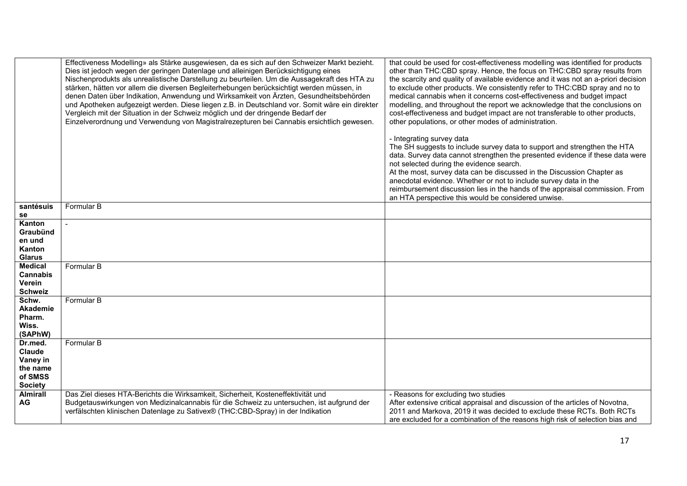|                                 | Effectiveness Modelling» als Stärke ausgewiesen, da es sich auf den Schweizer Markt bezieht.<br>Dies ist jedoch wegen der geringen Datenlage und alleinigen Berücksichtigung eines<br>Nischenprodukts als unrealistische Darstellung zu beurteilen. Um die Aussagekraft des HTA zu<br>stärken, hätten vor allem die diversen Begleiterhebungen berücksichtigt werden müssen, in<br>denen Daten über Indikation, Anwendung und Wirksamkeit von Ärzten, Gesundheitsbehörden<br>und Apotheken aufgezeigt werden. Diese liegen z.B. in Deutschland vor. Somit wäre ein direkter<br>Vergleich mit der Situation in der Schweiz möglich und der dringende Bedarf der<br>Einzelverordnung und Verwendung von Magistralrezepturen bei Cannabis ersichtlich gewesen. | that could be used for cost-effectiveness modelling was identified for products<br>other than THC:CBD spray. Hence, the focus on THC:CBD spray results from<br>the scarcity and quality of available evidence and it was not an a-priori decision<br>to exclude other products. We consistently refer to THC:CBD spray and no to<br>medical cannabis when it concerns cost-effectiveness and budget impact<br>modelling, and throughout the report we acknowledge that the conclusions on<br>cost-effectiveness and budget impact are not transferable to other products,<br>other populations, or other modes of administration. |
|---------------------------------|-------------------------------------------------------------------------------------------------------------------------------------------------------------------------------------------------------------------------------------------------------------------------------------------------------------------------------------------------------------------------------------------------------------------------------------------------------------------------------------------------------------------------------------------------------------------------------------------------------------------------------------------------------------------------------------------------------------------------------------------------------------|-----------------------------------------------------------------------------------------------------------------------------------------------------------------------------------------------------------------------------------------------------------------------------------------------------------------------------------------------------------------------------------------------------------------------------------------------------------------------------------------------------------------------------------------------------------------------------------------------------------------------------------|
|                                 |                                                                                                                                                                                                                                                                                                                                                                                                                                                                                                                                                                                                                                                                                                                                                             | - Integrating survey data<br>The SH suggests to include survey data to support and strengthen the HTA<br>data. Survey data cannot strengthen the presented evidence if these data were<br>not selected during the evidence search.<br>At the most, survey data can be discussed in the Discussion Chapter as<br>anecdotal evidence. Whether or not to include survey data in the<br>reimbursement discussion lies in the hands of the appraisal commission. From<br>an HTA perspective this would be considered unwise.                                                                                                           |
| santésuis<br>se                 | Formular B                                                                                                                                                                                                                                                                                                                                                                                                                                                                                                                                                                                                                                                                                                                                                  |                                                                                                                                                                                                                                                                                                                                                                                                                                                                                                                                                                                                                                   |
| Kanton                          |                                                                                                                                                                                                                                                                                                                                                                                                                                                                                                                                                                                                                                                                                                                                                             |                                                                                                                                                                                                                                                                                                                                                                                                                                                                                                                                                                                                                                   |
| Graubünd                        |                                                                                                                                                                                                                                                                                                                                                                                                                                                                                                                                                                                                                                                                                                                                                             |                                                                                                                                                                                                                                                                                                                                                                                                                                                                                                                                                                                                                                   |
| en und                          |                                                                                                                                                                                                                                                                                                                                                                                                                                                                                                                                                                                                                                                                                                                                                             |                                                                                                                                                                                                                                                                                                                                                                                                                                                                                                                                                                                                                                   |
| Kanton                          |                                                                                                                                                                                                                                                                                                                                                                                                                                                                                                                                                                                                                                                                                                                                                             |                                                                                                                                                                                                                                                                                                                                                                                                                                                                                                                                                                                                                                   |
| <b>Glarus</b><br><b>Medical</b> | Formular B                                                                                                                                                                                                                                                                                                                                                                                                                                                                                                                                                                                                                                                                                                                                                  |                                                                                                                                                                                                                                                                                                                                                                                                                                                                                                                                                                                                                                   |
| <b>Cannabis</b>                 |                                                                                                                                                                                                                                                                                                                                                                                                                                                                                                                                                                                                                                                                                                                                                             |                                                                                                                                                                                                                                                                                                                                                                                                                                                                                                                                                                                                                                   |
| Verein                          |                                                                                                                                                                                                                                                                                                                                                                                                                                                                                                                                                                                                                                                                                                                                                             |                                                                                                                                                                                                                                                                                                                                                                                                                                                                                                                                                                                                                                   |
| <b>Schweiz</b>                  |                                                                                                                                                                                                                                                                                                                                                                                                                                                                                                                                                                                                                                                                                                                                                             |                                                                                                                                                                                                                                                                                                                                                                                                                                                                                                                                                                                                                                   |
| Schw.                           | Formular B                                                                                                                                                                                                                                                                                                                                                                                                                                                                                                                                                                                                                                                                                                                                                  |                                                                                                                                                                                                                                                                                                                                                                                                                                                                                                                                                                                                                                   |
| Akademie                        |                                                                                                                                                                                                                                                                                                                                                                                                                                                                                                                                                                                                                                                                                                                                                             |                                                                                                                                                                                                                                                                                                                                                                                                                                                                                                                                                                                                                                   |
| Pharm.                          |                                                                                                                                                                                                                                                                                                                                                                                                                                                                                                                                                                                                                                                                                                                                                             |                                                                                                                                                                                                                                                                                                                                                                                                                                                                                                                                                                                                                                   |
| Wiss.<br>(SAPhW)                |                                                                                                                                                                                                                                                                                                                                                                                                                                                                                                                                                                                                                                                                                                                                                             |                                                                                                                                                                                                                                                                                                                                                                                                                                                                                                                                                                                                                                   |
| Dr.med.                         | Formular B                                                                                                                                                                                                                                                                                                                                                                                                                                                                                                                                                                                                                                                                                                                                                  |                                                                                                                                                                                                                                                                                                                                                                                                                                                                                                                                                                                                                                   |
| Claude                          |                                                                                                                                                                                                                                                                                                                                                                                                                                                                                                                                                                                                                                                                                                                                                             |                                                                                                                                                                                                                                                                                                                                                                                                                                                                                                                                                                                                                                   |
| Vaney in                        |                                                                                                                                                                                                                                                                                                                                                                                                                                                                                                                                                                                                                                                                                                                                                             |                                                                                                                                                                                                                                                                                                                                                                                                                                                                                                                                                                                                                                   |
| the name                        |                                                                                                                                                                                                                                                                                                                                                                                                                                                                                                                                                                                                                                                                                                                                                             |                                                                                                                                                                                                                                                                                                                                                                                                                                                                                                                                                                                                                                   |
| of SMSS                         |                                                                                                                                                                                                                                                                                                                                                                                                                                                                                                                                                                                                                                                                                                                                                             |                                                                                                                                                                                                                                                                                                                                                                                                                                                                                                                                                                                                                                   |
| <b>Society</b>                  |                                                                                                                                                                                                                                                                                                                                                                                                                                                                                                                                                                                                                                                                                                                                                             |                                                                                                                                                                                                                                                                                                                                                                                                                                                                                                                                                                                                                                   |
| <b>Almirall</b><br><b>AG</b>    | Das Ziel dieses HTA-Berichts die Wirksamkeit, Sicherheit, Kosteneffektivität und                                                                                                                                                                                                                                                                                                                                                                                                                                                                                                                                                                                                                                                                            | - Reasons for excluding two studies                                                                                                                                                                                                                                                                                                                                                                                                                                                                                                                                                                                               |
|                                 | Budgetauswirkungen von Medizinalcannabis für die Schweiz zu untersuchen, ist aufgrund der<br>verfälschten klinischen Datenlage zu Sativex® (THC:CBD-Spray) in der Indikation                                                                                                                                                                                                                                                                                                                                                                                                                                                                                                                                                                                | After extensive critical appraisal and discussion of the articles of Novotna,<br>2011 and Markova, 2019 it was decided to exclude these RCTs. Both RCTs                                                                                                                                                                                                                                                                                                                                                                                                                                                                           |
|                                 |                                                                                                                                                                                                                                                                                                                                                                                                                                                                                                                                                                                                                                                                                                                                                             | are excluded for a combination of the reasons high risk of selection bias and                                                                                                                                                                                                                                                                                                                                                                                                                                                                                                                                                     |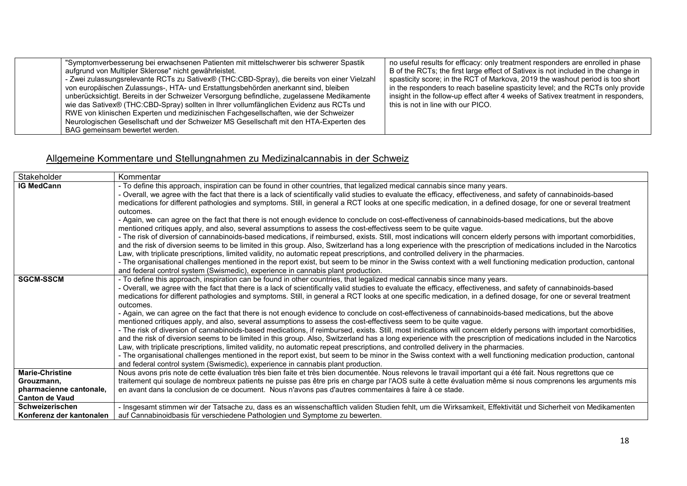| "Symptomverbesserung bei erwachsenen Patienten mit mittelschwerer bis schwerer Spastik      | no useful results for efficacy: only treatment responders are enrolled in phase   |
|---------------------------------------------------------------------------------------------|-----------------------------------------------------------------------------------|
| aufgrund von Multipler Sklerose" nicht gewährleistet.                                       | B of the RCTs; the first large effect of Sativex is not included in the change in |
| - Zwei zulassungsrelevante RCTs zu Sativex® (THC:CBD-Spray), die bereits von einer Vielzahl | spasticity score; in the RCT of Markova, 2019 the washout period is too short     |
| von europäischen Zulassungs-, HTA- und Erstattungsbehörden anerkannt sind, bleiben          | in the responders to reach baseline spasticity level; and the RCTs only provide   |
| unberücksichtigt. Bereits in der Schweizer Versorgung befindliche, zugelassene Medikamente  | insight in the follow-up effect after 4 weeks of Sativex treatment in responders, |
| wie das Sativex® (THC:CBD-Spray) sollten in Ihrer vollumfänglichen Evidenz aus RCTs und     | this is not in line with our PICO.                                                |
| RWE von klinischen Experten und medizinischen Fachgesellschaften, wie der Schweizer         |                                                                                   |
| Neurologischen Gesellschaft und der Schweizer MS Gesellschaft mit den HTA-Experten des      |                                                                                   |
| BAG gemeinsam bewertet werden.                                                              |                                                                                   |

## Allgemeine Kommentare und Stellungnahmen zu Medizinalcannabis in der Schweiz

| Stakeholder              | Kommentar                                                                                                                                                                                                                                            |
|--------------------------|------------------------------------------------------------------------------------------------------------------------------------------------------------------------------------------------------------------------------------------------------|
| <b>IG MedCann</b>        | - To define this approach, inspiration can be found in other countries, that legalized medical cannabis since many years.                                                                                                                            |
|                          | - Overall, we agree with the fact that there is a lack of scientifically valid studies to evaluate the efficacy, effectiveness, and safety of cannabinoids-based                                                                                     |
|                          | medications for different pathologies and symptoms. Still, in general a RCT looks at one specific medication, in a defined dosage, for one or several treatment                                                                                      |
|                          | outcomes.                                                                                                                                                                                                                                            |
|                          | - Again, we can agree on the fact that there is not enough evidence to conclude on cost-effectiveness of cannabinoids-based medications, but the above                                                                                               |
|                          | mentioned critiques apply, and also, several assumptions to assess the cost-effectivess seem to be quite vague.                                                                                                                                      |
|                          | - The risk of diversion of cannabinoids-based medications, if reimbursed, exists. Still, most indications will concern elderly persons with important comorbidities,                                                                                 |
|                          | and the risk of diversion seems to be limited in this group. Also, Switzerland has a long experience with the prescription of medications included in the Narcotics                                                                                  |
|                          | Law, with triplicate prescriptions, limited validity, no automatic repeat prescriptions, and controlled delivery in the pharmacies.                                                                                                                  |
|                          | - The organisational challenges mentioned in the report exist, but seem to be minor in the Swiss context with a well functioning medication production, cantonal                                                                                     |
|                          | and federal control system (Swismedic), experience in cannabis plant production.                                                                                                                                                                     |
| <b>SGCM-SSCM</b>         | - To define this approach, inspiration can be found in other countries, that legalized medical cannabis since many years.                                                                                                                            |
|                          | - Overall, we agree with the fact that there is a lack of scientifically valid studies to evaluate the efficacy, effectiveness, and safety of cannabinoids-based                                                                                     |
|                          | medications for different pathologies and symptoms. Still, in general a RCT looks at one specific medication, in a defined dosage, for one or several treatment                                                                                      |
|                          | outcomes.                                                                                                                                                                                                                                            |
|                          | - Again, we can agree on the fact that there is not enough evidence to conclude on cost-effectiveness of cannabinoids-based medications, but the above                                                                                               |
|                          | mentioned critiques apply, and also, several assumptions to assess the cost-effectivess seem to be quite vague.                                                                                                                                      |
|                          | - The risk of diversion of cannabinoids-based medications, if reimbursed, exists. Still, most indications will concern elderly persons with important comorbidities,                                                                                 |
|                          | and the risk of diversion seems to be limited in this group. Also, Switzerland has a long experience with the prescription of medications included in the Narcotics                                                                                  |
|                          | Law, with triplicate prescriptions, limited validity, no automatic repeat prescriptions, and controlled delivery in the pharmacies.                                                                                                                  |
|                          | - The organisational challenges mentioned in the report exist, but seem to be minor in the Swiss context with a well functioning medication production, cantonal<br>and federal control system (Swismedic), experience in cannabis plant production. |
| <b>Marie-Christine</b>   | Nous avons pris note de cette évaluation très bien faite et très bien documentée. Nous relevons le travail important qui a été fait. Nous regrettons que ce                                                                                          |
| Grouzmann,               | traitement qui soulage de nombreux patients ne puisse pas être pris en charge par l'AOS suite à cette évaluation même si nous comprenons les arguments mis                                                                                           |
| pharmacienne cantonale,  | en avant dans la conclusion de ce document. Nous n'avons pas d'autres commentaires à faire à ce stade.                                                                                                                                               |
| <b>Canton de Vaud</b>    |                                                                                                                                                                                                                                                      |
| Schweizerischen          | - Insgesamt stimmen wir der Tatsache zu, dass es an wissenschaftlich validen Studien fehlt, um die Wirksamkeit, Effektivität und Sicherheit von Medikamenten                                                                                         |
| Konferenz der kantonalen | auf Cannabinoidbasis für verschiedene Pathologien und Symptome zu bewerten.                                                                                                                                                                          |
|                          |                                                                                                                                                                                                                                                      |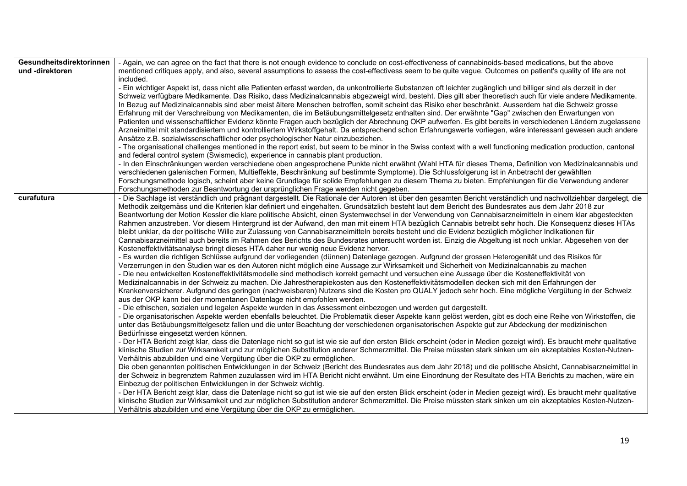| Gesundheitsdirektorinnen | - Again, we can agree on the fact that there is not enough evidence to conclude on cost-effectiveness of cannabinoids-based medications, but the above                                                                                                                                              |
|--------------------------|-----------------------------------------------------------------------------------------------------------------------------------------------------------------------------------------------------------------------------------------------------------------------------------------------------|
| und -direktoren          | mentioned critiques apply, and also, several assumptions to assess the cost-effectivess seem to be quite vague. Outcomes on patient's quality of life are not<br>included.                                                                                                                          |
|                          | - Ein wichtiger Aspekt ist, dass nicht alle Patienten erfasst werden, da unkontrollierte Substanzen oft leichter zugänglich und billiger sind als derzeit in der                                                                                                                                    |
|                          | Schweiz verfügbare Medikamente. Das Risiko, dass Medizinalcannabis abgezweigt wird, besteht. Dies gilt aber theoretisch auch für viele andere Medikamente.                                                                                                                                          |
|                          | In Bezug auf Medizinalcannabis sind aber meist ältere Menschen betroffen, somit scheint das Risiko eher beschränkt. Ausserdem hat die Schweiz grosse                                                                                                                                                |
|                          | Erfahrung mit der Verschreibung von Medikamenten, die im Betäubungsmittelgesetz enthalten sind. Der erwähnte "Gap" zwischen den Erwartungen von                                                                                                                                                     |
|                          | Patienten und wissenschaftlicher Evidenz könnte Fragen auch bezüglich der Abrechnung OKP aufwerfen. Es gibt bereits in verschiedenen Ländern zugelassene                                                                                                                                            |
|                          | Arzneimittel mit standardisiertem und kontrolliertem Wirkstoffgehalt. Da entsprechend schon Erfahrungswerte vorliegen, wäre interessant gewesen auch andere                                                                                                                                         |
|                          | Ansätze z.B. sozialwissenschaftlicher oder psychologischer Natur einzubeziehen.                                                                                                                                                                                                                     |
|                          | - The organisational challenges mentioned in the report exist, but seem to be minor in the Swiss context with a well functioning medication production, cantonal                                                                                                                                    |
|                          | and federal control system (Swismedic), experience in cannabis plant production.                                                                                                                                                                                                                    |
|                          | - In den Einschränkungen werden verschiedene oben angesprochene Punkte nicht erwähnt (Wahl HTA für dieses Thema, Definition von Medizinalcannabis und<br>verschiedenen galenischen Formen, Multieffekte, Beschränkung auf bestimmte Symptome). Die Schlussfolgerung ist in Anbetracht der gewählten |
|                          | Forschungsmethode logisch, scheint aber keine Grundlage für solide Empfehlungen zu diesem Thema zu bieten. Empfehlungen für die Verwendung anderer                                                                                                                                                  |
|                          | Forschungsmethoden zur Beantwortung der ursprünglichen Frage werden nicht gegeben.                                                                                                                                                                                                                  |
| curafutura               | - Die Sachlage ist verständlich und prägnant dargestellt. Die Rationale der Autoren ist über den gesamten Bericht verständlich und nachvollziehbar dargelegt, die                                                                                                                                   |
|                          | Methodik zeitgemäss und die Kriterien klar definiert und eingehalten. Grundsätzlich besteht laut dem Bericht des Bundesrates aus dem Jahr 2018 zur                                                                                                                                                  |
|                          | Beantwortung der Motion Kessler die klare politische Absicht, einen Systemwechsel in der Verwendung von Cannabisarzneimitteln in einem klar abgesteckten                                                                                                                                            |
|                          | Rahmen anzustreben. Vor diesem Hintergrund ist der Aufwand, den man mit einem HTA bezüglich Cannabis betreibt sehr hoch. Die Konsequenz dieses HTAs                                                                                                                                                 |
|                          | bleibt unklar, da der politische Wille zur Zulassung von Cannabisarzneimitteln bereits besteht und die Evidenz bezüglich möglicher Indikationen für                                                                                                                                                 |
|                          | Cannabisarzneimittel auch bereits im Rahmen des Berichts des Bundesrates untersucht worden ist. Einzig die Abgeltung ist noch unklar. Abgesehen von der                                                                                                                                             |
|                          | Kosteneffektivitätsanalyse bringt dieses HTA daher nur wenig neue Evidenz hervor.<br>- Es wurden die richtigen Schlüsse aufgrund der vorliegenden (dünnen) Datenlage gezogen. Aufgrund der grossen Heterogenität und des Risikos für                                                                |
|                          | Verzerrungen in den Studien war es den Autoren nicht möglich eine Aussage zur Wirksamkeit und Sicherheit von Medizinalcannabis zu machen                                                                                                                                                            |
|                          | - Die neu entwickelten Kosteneffektivitätsmodelle sind methodisch korrekt gemacht und versuchen eine Aussage über die Kosteneffektivität von                                                                                                                                                        |
|                          | Medizinalcannabis in der Schweiz zu machen. Die Jahrestherapiekosten aus den Kosteneffektivitätsmodellen decken sich mit den Erfahrungen der                                                                                                                                                        |
|                          | Krankenversicherer. Aufgrund des geringen (nachweisbaren) Nutzens sind die Kosten pro QUALY jedoch sehr hoch. Eine mögliche Vergütung in der Schweiz                                                                                                                                                |
|                          | aus der OKP kann bei der momentanen Datenlage nicht empfohlen werden.                                                                                                                                                                                                                               |
|                          | - Die ethischen, sozialen und legalen Aspekte wurden in das Assessment einbezogen und werden gut dargestellt.                                                                                                                                                                                       |
|                          | - Die organisatorischen Aspekte werden ebenfalls beleuchtet. Die Problematik dieser Aspekte kann gelöst werden, gibt es doch eine Reihe von Wirkstoffen, die                                                                                                                                        |
|                          | unter das Betäubungsmittelgesetz fallen und die unter Beachtung der verschiedenen organisatorischen Aspekte gut zur Abdeckung der medizinischen                                                                                                                                                     |
|                          | Bedürfnisse eingesetzt werden können.<br>- Der HTA Bericht zeigt klar, dass die Datenlage nicht so gut ist wie sie auf den ersten Blick erscheint (oder in Medien gezeigt wird). Es braucht mehr qualitative                                                                                        |
|                          | klinische Studien zur Wirksamkeit und zur möglichen Substitution anderer Schmerzmittel. Die Preise müssten stark sinken um ein akzeptables Kosten-Nutzen-                                                                                                                                           |
|                          | Verhältnis abzubilden und eine Vergütung über die OKP zu ermöglichen.                                                                                                                                                                                                                               |
|                          | Die oben genannten politischen Entwicklungen in der Schweiz (Bericht des Bundesrates aus dem Jahr 2018) und die politische Absicht, Cannabisarzneimittel in                                                                                                                                         |
|                          | der Schweiz in begrenztem Rahmen zuzulassen wird im HTA Bericht nicht erwähnt. Um eine Einordnung der Resultate des HTA Berichts zu machen, wäre ein                                                                                                                                                |
|                          | Einbezug der politischen Entwicklungen in der Schweiz wichtig.                                                                                                                                                                                                                                      |
|                          | - Der HTA Bericht zeigt klar, dass die Datenlage nicht so gut ist wie sie auf den ersten Blick erscheint (oder in Medien gezeigt wird). Es braucht mehr qualitative                                                                                                                                 |
|                          | klinische Studien zur Wirksamkeit und zur möglichen Substitution anderer Schmerzmittel. Die Preise müssten stark sinken um ein akzeptables Kosten-Nutzen-                                                                                                                                           |
|                          | Verhältnis abzubilden und eine Vergütung über die OKP zu ermöglichen.                                                                                                                                                                                                                               |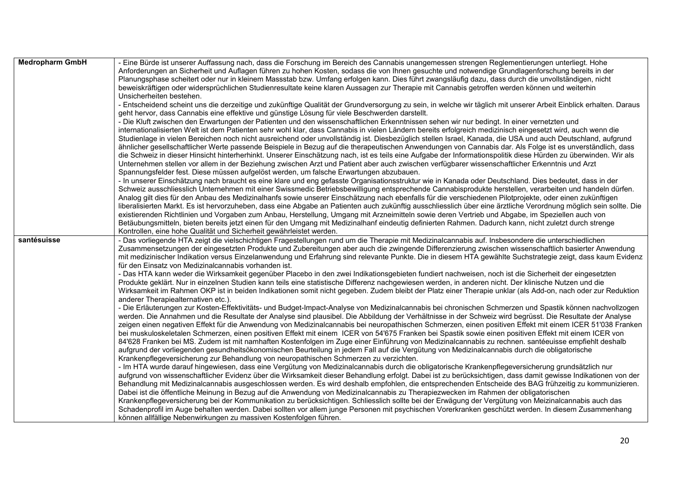| <b>Medropharm GmbH</b> | - Eine Bürde ist unserer Auffassung nach, dass die Forschung im Bereich des Cannabis unangemessen strengen Reglementierungen unterliegt. Hohe<br>Anforderungen an Sicherheit und Auflagen führen zu hohen Kosten, sodass die von Ihnen gesuchte und notwendige Grundlagenforschung bereits in der<br>Planungsphase scheitert oder nur in kleinem Massstab bzw. Umfang erfolgen kann. Dies führt zwangsläufig dazu, dass durch die unvollständigen, nicht<br>beweiskräftigen oder widersprüchlichen Studienresultate keine klaren Aussagen zur Therapie mit Cannabis getroffen werden können und weiterhin<br>Unsicherheiten bestehen.<br>- Entscheidend scheint uns die derzeitige und zukünftige Qualität der Grundversorgung zu sein, in welche wir täglich mit unserer Arbeit Einblick erhalten. Daraus<br>geht hervor, dass Cannabis eine effektive und günstige Lösung für viele Beschwerden darstellt.<br>- Die Kluft zwischen den Erwartungen der Patienten und den wissenschaftlichen Erkenntnissen sehen wir nur bedingt. In einer vernetzten und<br>internationalisierten Welt ist dem Patienten sehr wohl klar, dass Cannabis in vielen Ländern bereits erfolgreich medizinisch eingesetzt wird, auch wenn die<br>Studienlage in vielen Bereichen noch nicht ausreichend oder unvollständig ist. Diesbezüglich stellen Israel, Kanada, die USA und auch Deutschland, aufgrund<br>ähnlicher gesellschaftlicher Werte passende Beispiele in Bezug auf die therapeutischen Anwendungen von Cannabis dar. Als Folge ist es unverständlich, dass<br>die Schweiz in dieser Hinsicht hinterherhinkt. Unserer Einschätzung nach, ist es teils eine Aufgabe der Informationspolitik diese Hürden zu überwinden. Wir als<br>Unternehmen stellen vor allem in der Beziehung zwischen Arzt und Patient aber auch zwischen verfügbarer wissenschaftlicher Erkenntnis und Arzt<br>Spannungsfelder fest. Diese müssen aufgelöst werden, um falsche Erwartungen abzubauen.<br>- In unserer Einschätzung nach braucht es eine klare und eng gefasste Organisationsstruktur wie in Kanada oder Deutschland. Dies bedeutet, dass in der<br>Schweiz ausschliesslich Unternehmen mit einer Swissmedic Betriebsbewilligung entsprechende Cannabisprodukte herstellen, verarbeiten und handeln dürfen.<br>Analog gilt dies für den Anbau des Medizinalhanfs sowie unserer Einschätzung nach ebenfalls für die verschiedenen Pilotprojekte, oder einen zukünftigen |
|------------------------|-------------------------------------------------------------------------------------------------------------------------------------------------------------------------------------------------------------------------------------------------------------------------------------------------------------------------------------------------------------------------------------------------------------------------------------------------------------------------------------------------------------------------------------------------------------------------------------------------------------------------------------------------------------------------------------------------------------------------------------------------------------------------------------------------------------------------------------------------------------------------------------------------------------------------------------------------------------------------------------------------------------------------------------------------------------------------------------------------------------------------------------------------------------------------------------------------------------------------------------------------------------------------------------------------------------------------------------------------------------------------------------------------------------------------------------------------------------------------------------------------------------------------------------------------------------------------------------------------------------------------------------------------------------------------------------------------------------------------------------------------------------------------------------------------------------------------------------------------------------------------------------------------------------------------------------------------------------------------------------------------------------------------------------------------------------------------------------------------------------------------------------------------------------------------------------------------------------------------------------------------------------------------------------------------------------------------------------------------------------------------------------------------------------------------------------------------------|
|                        | liberalisierten Markt. Es ist hervorzuheben, dass eine Abgabe an Patienten auch zukünftig ausschliesslich über eine ärztliche Verordnung möglich sein sollte. Die<br>existierenden Richtlinien und Vorgaben zum Anbau, Herstellung, Umgang mit Arzneimitteln sowie deren Vertrieb und Abgabe, im Speziellen auch von<br>Betäubungsmitteln, bieten bereits jetzt einen für den Umgang mit Medizinalhanf eindeutig definierten Rahmen. Dadurch kann, nicht zuletzt durch strenge                                                                                                                                                                                                                                                                                                                                                                                                                                                                                                                                                                                                                                                                                                                                                                                                                                                                                                                                                                                                                                                                                                                                                                                                                                                                                                                                                                                                                                                                                                                                                                                                                                                                                                                                                                                                                                                                                                                                                                        |
|                        | Kontrollen, eine hohe Qualität und Sicherheit gewährleistet werden.                                                                                                                                                                                                                                                                                                                                                                                                                                                                                                                                                                                                                                                                                                                                                                                                                                                                                                                                                                                                                                                                                                                                                                                                                                                                                                                                                                                                                                                                                                                                                                                                                                                                                                                                                                                                                                                                                                                                                                                                                                                                                                                                                                                                                                                                                                                                                                                   |
| santésuisse            | - Das vorliegende HTA zeigt die vielschichtigen Fragestellungen rund um die Therapie mit Medizinalcannabis auf. Insbesondere die unterschiedlichen<br>Zusammensetzungen der eingesetzten Produkte und Zubereitungen aber auch die zwingende Differenzierung zwischen wissenschaftlich basierter Anwendung<br>mit medizinischer Indikation versus Einzelanwendung und Erfahrung sind relevante Punkte. Die in diesem HTA gewählte Suchstrategie zeigt, dass kaum Evidenz<br>für den Einsatz von Medizinalcannabis vorhanden ist.<br>- Das HTA kann weder die Wirksamkeit gegenüber Placebo in den zwei Indikationsgebieten fundiert nachweisen, noch ist die Sicherheit der eingesetzten<br>Produkte geklärt. Nur in einzelnen Studien kann teils eine statistische Differenz nachgewiesen werden, in anderen nicht. Der klinische Nutzen und die                                                                                                                                                                                                                                                                                                                                                                                                                                                                                                                                                                                                                                                                                                                                                                                                                                                                                                                                                                                                                                                                                                                                                                                                                                                                                                                                                                                                                                                                                                                                                                                                      |
|                        | Wirksamkeit im Rahmen OKP ist in beiden Indikationen somit nicht gegeben. Zudem bleibt der Platz einer Therapie unklar (als Add-on, nach oder zur Reduktion<br>anderer Therapiealternativen etc.).                                                                                                                                                                                                                                                                                                                                                                                                                                                                                                                                                                                                                                                                                                                                                                                                                                                                                                                                                                                                                                                                                                                                                                                                                                                                                                                                                                                                                                                                                                                                                                                                                                                                                                                                                                                                                                                                                                                                                                                                                                                                                                                                                                                                                                                    |
|                        | - Die Erläuterungen zur Kosten-Effektivitäts- und Budget-Impact-Analyse von Medizinalcannabis bei chronischen Schmerzen und Spastik können nachvollzogen<br>werden. Die Annahmen und die Resultate der Analyse sind plausibel. Die Abbildung der Verhältnisse in der Schweiz wird begrüsst. Die Resultate der Analyse<br>zeigen einen negativen Effekt für die Anwendung von Medizinalcannabis bei neuropathischen Schmerzen, einen positiven Effekt mit einem ICER 51'038 Franken<br>bei muskuloskeletalen Schmerzen, einen positiven Effekt mit einem ICER von 54'675 Franken bei Spastik sowie einen positiven Effekt mit einem ICER von<br>84'628 Franken bei MS. Zudem ist mit namhaften Kostenfolgen im Zuge einer Einführung von Medizinalcannabis zu rechnen. santéeuisse empfiehlt deshalb<br>aufgrund der vorliegenden gesundheitsökonomischen Beurteilung in jedem Fall auf die Vergütung von Medizinalcannabis durch die obligatorische<br>Krankenpflegeversicherung zur Behandlung von neuropathischen Schmerzen zu verzichten.                                                                                                                                                                                                                                                                                                                                                                                                                                                                                                                                                                                                                                                                                                                                                                                                                                                                                                                                                                                                                                                                                                                                                                                                                                                                                                                                                                                                          |
|                        | - Im HTA wurde darauf hingewiesen, dass eine Vergütung von Medizinalcannabis durch die obligatorische Krankenpflegeversicherung grundsätzlich nur<br>aufgrund von wissenschaftlicher Evidenz über die Wirksamkeit dieser Behandlung erfolgt. Dabei ist zu berücksichtigen, dass damit gewisse Indikationen von der<br>Behandlung mit Medizinalcannabis ausgeschlossen werden. Es wird deshalb empfohlen, die entsprechenden Entscheide des BAG frühzeitig zu kommunizieren.<br>Dabei ist die öffentliche Meinung in Bezug auf die Anwendung von Medizinalcannabis zu Therapiezwecken im Rahmen der obligatorischen<br>Krankenpflegeversicherung bei der Kommunikation zu berücksichtigen. Schliesslich sollte bei der Erwägung der Vergütung von Meizinalcannabis auch das<br>Schadenprofil im Auge behalten werden. Dabei sollten vor allem junge Personen mit psychischen Vorerkranken geschützt werden. In diesem Zusammenhang<br>können allfällige Nebenwirkungen zu massiven Kostenfolgen führen.                                                                                                                                                                                                                                                                                                                                                                                                                                                                                                                                                                                                                                                                                                                                                                                                                                                                                                                                                                                                                                                                                                                                                                                                                                                                                                                                                                                                                                                |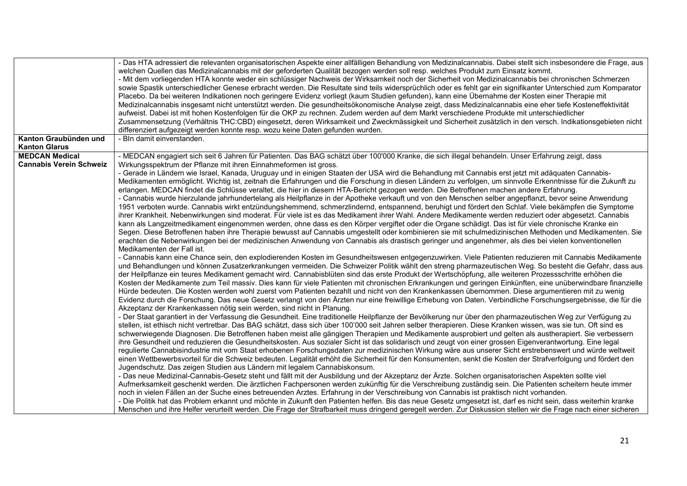|                                | - Das HTA adressiert die relevanten organisatorischen Aspekte einer allfälligen Behandlung von Medizinalcannabis. Dabei stellt sich insbesondere die Frage, aus<br>welchen Quellen das Medizinalcannabis mit der geforderten Qualität bezogen werden soll resp. welches Produkt zum Einsatz kommt.<br>- Mit dem vorliegenden HTA konnte weder ein schlüssiger Nachweis der Wirksamkeit noch der Sicherheit von Medizinalcannabis bei chronischen Schmerzen<br>sowie Spastik unterschiedlicher Genese erbracht werden. Die Resultate sind teils widersprüchlich oder es fehlt gar ein signifikanter Unterschied zum Komparator<br>Placebo. Da bei weiteren Indikationen noch geringere Evidenz vorliegt (kaum Studien gefunden), kann eine Übernahme der Kosten einer Therapie mit<br>Medizinalcannabis insgesamt nicht unterstützt werden. Die gesundheitsökonomische Analyse zeigt, dass Medizinalcannabis eine eher tiefe Kosteneffektivität<br>aufweist. Dabei ist mit hohen Kostenfolgen für die OKP zu rechnen. Zudem werden auf dem Markt verschiedene Produkte mit unterschiedlicher<br>Zusammensetzung (Verhältnis THC:CBD) eingesetzt, deren Wirksamkeit und Zweckmässigkeit und Sicherheit zusätzlich in den versch. Indikationsgebieten nicht |
|--------------------------------|----------------------------------------------------------------------------------------------------------------------------------------------------------------------------------------------------------------------------------------------------------------------------------------------------------------------------------------------------------------------------------------------------------------------------------------------------------------------------------------------------------------------------------------------------------------------------------------------------------------------------------------------------------------------------------------------------------------------------------------------------------------------------------------------------------------------------------------------------------------------------------------------------------------------------------------------------------------------------------------------------------------------------------------------------------------------------------------------------------------------------------------------------------------------------------------------------------------------------------------------------------|
|                                | differenziert aufgezeigt werden konnte resp. wozu keine Daten gefunden wurden.                                                                                                                                                                                                                                                                                                                                                                                                                                                                                                                                                                                                                                                                                                                                                                                                                                                                                                                                                                                                                                                                                                                                                                           |
| Kanton Graubünden und          | - Bln damit einverstanden.                                                                                                                                                                                                                                                                                                                                                                                                                                                                                                                                                                                                                                                                                                                                                                                                                                                                                                                                                                                                                                                                                                                                                                                                                               |
| <b>Kanton Glarus</b>           |                                                                                                                                                                                                                                                                                                                                                                                                                                                                                                                                                                                                                                                                                                                                                                                                                                                                                                                                                                                                                                                                                                                                                                                                                                                          |
| <b>MEDCAN Medical</b>          | - MEDCAN engagiert sich seit 6 Jahren für Patienten. Das BAG schätzt über 100'000 Kranke, die sich illegal behandeln. Unser Erfahrung zeigt, dass                                                                                                                                                                                                                                                                                                                                                                                                                                                                                                                                                                                                                                                                                                                                                                                                                                                                                                                                                                                                                                                                                                        |
| <b>Cannabis Verein Schweiz</b> | Wirkungsspektrum der Pflanze mit ihren Einnahmeformen ist gross.                                                                                                                                                                                                                                                                                                                                                                                                                                                                                                                                                                                                                                                                                                                                                                                                                                                                                                                                                                                                                                                                                                                                                                                         |
|                                | - Gerade in Ländern wie Israel, Kanada, Uruguay und in einigen Staaten der USA wird die Behandlung mit Cannabis erst jetzt mit adäquaten Cannabis-                                                                                                                                                                                                                                                                                                                                                                                                                                                                                                                                                                                                                                                                                                                                                                                                                                                                                                                                                                                                                                                                                                       |
|                                | Medikamenten ermöglicht. Wichtig ist, zeitnah die Erfahrungen und die Forschung in diesen Ländern zu verfolgen, um sinnvolle Erkenntnisse für die Zukunft zu                                                                                                                                                                                                                                                                                                                                                                                                                                                                                                                                                                                                                                                                                                                                                                                                                                                                                                                                                                                                                                                                                             |
|                                | erlangen. MEDCAN findet die Schlüsse veraltet, die hier in diesem HTA-Bericht gezogen werden. Die Betroffenen machen andere Erfahrung.                                                                                                                                                                                                                                                                                                                                                                                                                                                                                                                                                                                                                                                                                                                                                                                                                                                                                                                                                                                                                                                                                                                   |
|                                | - Cannabis wurde hierzulande jahrhundertelang als Heilpflanze in der Apotheke verkauft und von den Menschen selber angepflanzt, bevor seine Anwendung                                                                                                                                                                                                                                                                                                                                                                                                                                                                                                                                                                                                                                                                                                                                                                                                                                                                                                                                                                                                                                                                                                    |
|                                | 1951 verboten wurde. Cannabis wirkt entzündungshemmend, schmerzlindernd, entspannend, beruhigt und fördert den Schlaf. Viele bekämpfen die Symptome                                                                                                                                                                                                                                                                                                                                                                                                                                                                                                                                                                                                                                                                                                                                                                                                                                                                                                                                                                                                                                                                                                      |
|                                | ihrer Krankheit. Nebenwirkungen sind moderat. Für viele ist es das Medikament ihrer Wahl. Andere Medikamente werden reduziert oder abgesetzt. Cannabis                                                                                                                                                                                                                                                                                                                                                                                                                                                                                                                                                                                                                                                                                                                                                                                                                                                                                                                                                                                                                                                                                                   |
|                                | kann als Langzeitmedikament eingenommen werden, ohne dass es den Körper vergiftet oder die Organe schädigt. Das ist für viele chronische Kranke ein                                                                                                                                                                                                                                                                                                                                                                                                                                                                                                                                                                                                                                                                                                                                                                                                                                                                                                                                                                                                                                                                                                      |
|                                | Segen. Diese Betroffenen haben ihre Therapie bewusst auf Cannabis umgestellt oder kombinieren sie mit schulmedizinischen Methoden und Medikamenten. Sie                                                                                                                                                                                                                                                                                                                                                                                                                                                                                                                                                                                                                                                                                                                                                                                                                                                                                                                                                                                                                                                                                                  |
|                                | erachten die Nebenwirkungen bei der medizinischen Anwendung von Cannabis als drastisch geringer und angenehmer, als dies bei vielen konventionellen                                                                                                                                                                                                                                                                                                                                                                                                                                                                                                                                                                                                                                                                                                                                                                                                                                                                                                                                                                                                                                                                                                      |
|                                | Medikamenten der Fall ist.                                                                                                                                                                                                                                                                                                                                                                                                                                                                                                                                                                                                                                                                                                                                                                                                                                                                                                                                                                                                                                                                                                                                                                                                                               |
|                                | - Cannabis kann eine Chance sein, den explodierenden Kosten im Gesundheitswesen entgegenzuwirken. Viele Patienten reduzieren mit Cannabis Medikamente<br>und Behandlungen und können Zusatzerkrankungen vermeiden. Die Schweizer Politik wählt den streng pharmazeutischen Weg. So besteht die Gefahr, dass aus                                                                                                                                                                                                                                                                                                                                                                                                                                                                                                                                                                                                                                                                                                                                                                                                                                                                                                                                          |
|                                | der Heilpflanze ein teures Medikament gemacht wird. Cannabisblüten sind das erste Produkt der Wertschöpfung, alle weiteren Prozessschritte erhöhen die                                                                                                                                                                                                                                                                                                                                                                                                                                                                                                                                                                                                                                                                                                                                                                                                                                                                                                                                                                                                                                                                                                   |
|                                | Kosten der Medikamente zum Teil massiv. Dies kann für viele Patienten mit chronischen Erkrankungen und geringen Einkünften, eine unüberwindbare finanzielle                                                                                                                                                                                                                                                                                                                                                                                                                                                                                                                                                                                                                                                                                                                                                                                                                                                                                                                                                                                                                                                                                              |
|                                | Hürde bedeuten. Die Kosten werden wohl zuerst vom Patienten bezahlt und nicht von den Krankenkassen übernommen. Diese argumentieren mit zu wenig                                                                                                                                                                                                                                                                                                                                                                                                                                                                                                                                                                                                                                                                                                                                                                                                                                                                                                                                                                                                                                                                                                         |
|                                | Evidenz durch die Forschung. Das neue Gesetz verlangt von den Ärzten nur eine freiwillige Erhebung von Daten. Verbindliche Forschungsergebnisse, die für die                                                                                                                                                                                                                                                                                                                                                                                                                                                                                                                                                                                                                                                                                                                                                                                                                                                                                                                                                                                                                                                                                             |
|                                | Akzeptanz der Krankenkassen nötig sein werden, sind nicht in Planung.                                                                                                                                                                                                                                                                                                                                                                                                                                                                                                                                                                                                                                                                                                                                                                                                                                                                                                                                                                                                                                                                                                                                                                                    |
|                                | - Der Staat garantiert in der Verfassung die Gesundheit. Eine traditionelle Heilpflanze der Bevölkerung nur über den pharmazeutischen Weg zur Verfügung zu                                                                                                                                                                                                                                                                                                                                                                                                                                                                                                                                                                                                                                                                                                                                                                                                                                                                                                                                                                                                                                                                                               |
|                                | stellen, ist ethisch nicht vertretbar. Das BAG schätzt, dass sich über 100'000 seit Jahren selber therapieren. Diese Kranken wissen, was sie tun. Oft sind es                                                                                                                                                                                                                                                                                                                                                                                                                                                                                                                                                                                                                                                                                                                                                                                                                                                                                                                                                                                                                                                                                            |
|                                | schwerwiegende Diagnosen. Die Betroffenen haben meist alle gängigen Therapien und Medikamente ausprobiert und gelten als austherapiert. Sie verbessern                                                                                                                                                                                                                                                                                                                                                                                                                                                                                                                                                                                                                                                                                                                                                                                                                                                                                                                                                                                                                                                                                                   |
|                                | ihre Gesundheit und reduzieren die Gesundheitskosten. Aus sozialer Sicht ist das solidarisch und zeugt von einer grossen Eigenverantwortung. Eine legal                                                                                                                                                                                                                                                                                                                                                                                                                                                                                                                                                                                                                                                                                                                                                                                                                                                                                                                                                                                                                                                                                                  |
|                                | regulierte Cannabisindustrie mit vom Staat erhobenen Forschungsdaten zur medizinischen Wirkung wäre aus unserer Sicht erstrebenswert und würde weltweit                                                                                                                                                                                                                                                                                                                                                                                                                                                                                                                                                                                                                                                                                                                                                                                                                                                                                                                                                                                                                                                                                                  |
|                                | einen Wettbewerbsvorteil für die Schweiz bedeuten. Legalität erhöht die Sicherheit für den Konsumenten, senkt die Kosten der Strafverfolgung und fördert den                                                                                                                                                                                                                                                                                                                                                                                                                                                                                                                                                                                                                                                                                                                                                                                                                                                                                                                                                                                                                                                                                             |
|                                | Jugendschutz. Das zeigen Studien aus Ländern mit legalem Cannabiskonsum.                                                                                                                                                                                                                                                                                                                                                                                                                                                                                                                                                                                                                                                                                                                                                                                                                                                                                                                                                                                                                                                                                                                                                                                 |
|                                | - Das neue Medizinal-Cannabis-Gesetz steht und fällt mit der Ausbildung und der Akzeptanz der Ärzte. Solchen organisatorischen Aspekten sollte viel                                                                                                                                                                                                                                                                                                                                                                                                                                                                                                                                                                                                                                                                                                                                                                                                                                                                                                                                                                                                                                                                                                      |
|                                | Aufmerksamkeit geschenkt werden. Die ärztlichen Fachpersonen werden zukünftig für die Verschreibung zuständig sein. Die Patienten scheitern heute immer                                                                                                                                                                                                                                                                                                                                                                                                                                                                                                                                                                                                                                                                                                                                                                                                                                                                                                                                                                                                                                                                                                  |
|                                | noch in vielen Fällen an der Suche eines betreuenden Arztes. Erfahrung in der Verschreibung von Cannabis ist praktisch nicht vorhanden.                                                                                                                                                                                                                                                                                                                                                                                                                                                                                                                                                                                                                                                                                                                                                                                                                                                                                                                                                                                                                                                                                                                  |
|                                | - Die Politik hat das Problem erkannt und möchte in Zukunft den Patienten helfen. Bis das neue Gesetz umgesetzt ist, darf es nicht sein, dass weiterhin kranke                                                                                                                                                                                                                                                                                                                                                                                                                                                                                                                                                                                                                                                                                                                                                                                                                                                                                                                                                                                                                                                                                           |
|                                | Menschen und ihre Helfer verurteilt werden. Die Frage der Strafbarkeit muss dringend geregelt werden. Zur Diskussion stellen wir die Frage nach einer sicheren                                                                                                                                                                                                                                                                                                                                                                                                                                                                                                                                                                                                                                                                                                                                                                                                                                                                                                                                                                                                                                                                                           |
|                                |                                                                                                                                                                                                                                                                                                                                                                                                                                                                                                                                                                                                                                                                                                                                                                                                                                                                                                                                                                                                                                                                                                                                                                                                                                                          |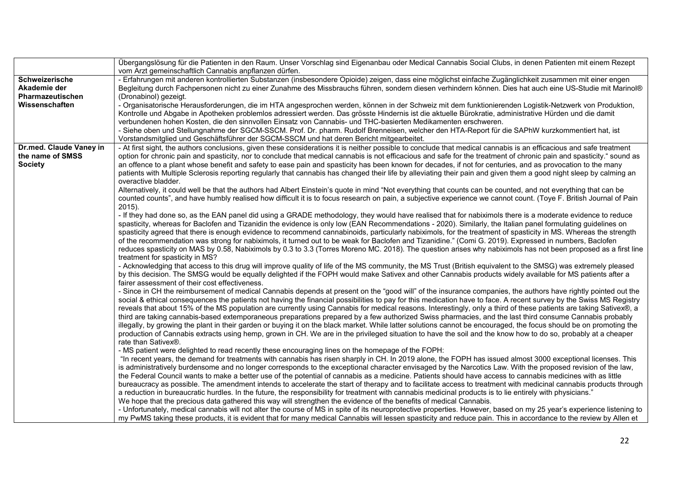|                         | Übergangslösung für die Patienten in den Raum. Unser Vorschlag sind Eigenanbau oder Medical Cannabis Social Clubs, in denen Patienten mit einem Rezept                |
|-------------------------|-----------------------------------------------------------------------------------------------------------------------------------------------------------------------|
|                         | vom Arzt gemeinschaftlich Cannabis anpflanzen dürfen.                                                                                                                 |
| Schweizerische          | - Erfahrungen mit anderen kontrollierten Substanzen (insbesondere Opioide) zeigen, dass eine möglichst einfache Zugänglichkeit zusammen mit einer engen               |
| Akademie der            | Begleitung durch Fachpersonen nicht zu einer Zunahme des Missbrauchs führen, sondern diesen verhindern können. Dies hat auch eine US-Studie mit Marinol®              |
| <b>Pharmazeutischen</b> | (Dronabinol) gezeigt.                                                                                                                                                 |
| Wissenschaften          | - Organisatorische Herausforderungen, die im HTA angesprochen werden, können in der Schweiz mit dem funktionierenden Logistik-Netzwerk von Produktion,                |
|                         | Kontrolle und Abgabe in Apotheken problemlos adressiert werden. Das grösste Hindernis ist die aktuelle Bürokratie, administrative Hürden und die damit                |
|                         | verbundenen hohen Kosten, die den sinnvollen Einsatz von Cannabis- und THC-basierten Medikamenten erschweren.                                                         |
|                         | - Siehe oben und Stellungnahme der SGCM-SSCM. Prof. Dr. pharm. Rudolf Brenneisen, welcher den HTA-Report für die SAPhW kurzkommentiert hat, ist                       |
|                         | Vorstandsmitglied und Geschäftsführer der SGCM-SSCM und hat deren Bericht mitgearbeitet.                                                                              |
| Dr.med. Claude Vaney in | - At first sight, the authors conclusions, given these considerations it is neither possible to conclude that medical cannabis is an efficacious and safe treatment   |
| the name of SMSS        | option for chronic pain and spasticity, nor to conclude that medical cannabis is not efficacious and safe for the treatment of chronic pain and spasticity." sound as |
| <b>Society</b>          | an offence to a plant whose benefit and safety to ease pain and spasticity has been known for decades, if not for centuries, and as provocation to the many           |
|                         | patients with Multiple Sclerosis reporting regularly that cannabis has changed their life by alleviating their pain and given them a good night sleep by calming an   |
|                         | overactive bladder.                                                                                                                                                   |
|                         | Alternatively, it could well be that the authors had Albert Einstein's quote in mind "Not everything that counts can be counted, and not everything that can be       |
|                         | counted counts", and have humbly realised how difficult it is to focus research on pain, a subjective experience we cannot count. (Toye F. British Journal of Pain    |
|                         | $2015$ ).                                                                                                                                                             |
|                         | - If they had done so, as the EAN panel did using a GRADE methodology, they would have realised that for nabiximols there is a moderate evidence to reduce            |
|                         | spasticity, whereas for Baclofen and Tizanidin the evidence is only low (EAN Recommendations - 2020). Similarly, the Italian panel formulating guidelines on          |
|                         | spasticity agreed that there is enough evidence to recommend cannabinoids, particularly nabiximols, for the treatment of spasticity in MS. Whereas the strength       |
|                         | of the recommendation was strong for nabiximols, it turned out to be weak for Baclofen and Tizanidine." (Comi G. 2019). Expressed in numbers, Baclofen                |
|                         | reduces spasticity on MAS by 0.58, Nabiximols by 0.3 to 3.3 (Torres Moreno MC. 2018). The question arises why nabiximols has not been proposed as a first line        |
|                         | treatment for spasticity in MS?                                                                                                                                       |
|                         | - Acknowledging that access to this drug will improve quality of life of the MS community, the MS Trust (British equivalent to the SMSG) was extremely pleased        |
|                         | by this decision. The SMSG would be equally delighted if the FOPH would make Sativex and other Cannabis products widely available for MS patients after a             |
|                         | fairer assessment of their cost effectiveness.                                                                                                                        |
|                         | - Since in CH the reimbursement of medical Cannabis depends at present on the "good will" of the insurance companies, the authors have rightly pointed out the        |
|                         | social & ethical consequences the patients not having the financial possibilities to pay for this medication have to face. A recent survey by the Swiss MS Registry   |
|                         | reveals that about 15% of the MS population are currently using Cannabis for medical reasons. Interestingly, only a third of these patients are taking Sativex®, a    |
|                         | third are taking cannabis-based extemporaneous preparations prepared by a few authorized Swiss pharmacies, and the last third consume Cannabis probably               |
|                         | illegally, by growing the plant in their garden or buying it on the black market. While latter solutions cannot be encouraged, the focus should be on promoting the   |
|                         | production of Cannabis extracts using hemp, grown in CH. We are in the privileged situation to have the soil and the know how to do so, probably at a cheaper         |
|                         | rate than Sativex®.                                                                                                                                                   |
|                         | - MS patient were delighted to read recently these encouraging lines on the homepage of the FOPH:                                                                     |
|                         | "In recent years, the demand for treatments with cannabis has risen sharply in CH. In 2019 alone, the FOPH has issued almost 3000 exceptional licenses. This          |
|                         | is administratively burdensome and no longer corresponds to the exceptional character envisaged by the Narcotics Law. With the proposed revision of the law,          |
|                         | the Federal Council wants to make a better use of the potential of cannabis as a medicine. Patients should have access to cannabis medicines with as little           |
|                         | bureaucracy as possible. The amendment intends to accelerate the start of therapy and to facilitate access to treatment with medicinal cannabis products through      |
|                         | a reduction in bureaucratic hurdles. In the future, the responsibility for treatment with cannabis medicinal products is to lie entirely with physicians."            |
|                         | We hope that the precious data gathered this way will strengthen the evidence of the benefits of medical Cannabis.                                                    |
|                         | - Unfortunately, medical cannabis will not alter the course of MS in spite of its neuroprotective properties. However, based on my 25 year's experience listening to  |
|                         | my PwMS taking these products, it is evident that for many medical Cannabis will lessen spasticity and reduce pain. This in accordance to the review by Allen et      |